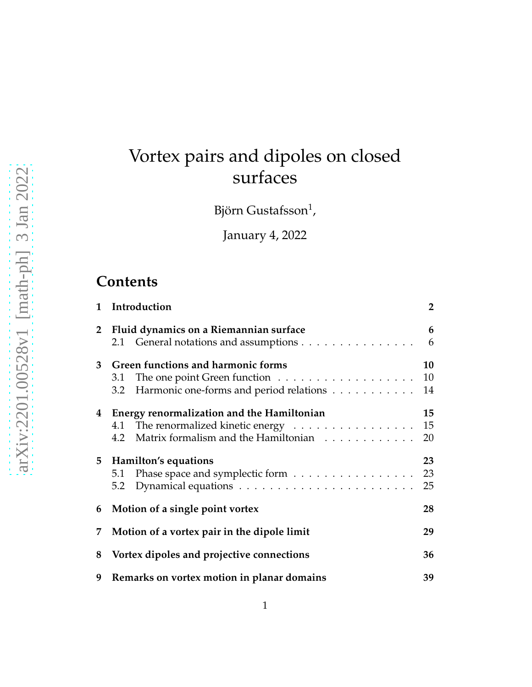# Vortex pairs and dipoles on closed surfaces

Björn Gustafsson $^1$ ,

January 4, 2022

# **Contents**

| 1            | Introduction                                                                                                                                                      | $\overline{2}$ |
|--------------|-------------------------------------------------------------------------------------------------------------------------------------------------------------------|----------------|
| $\mathbf{2}$ | Fluid dynamics on a Riemannian surface<br>2.1 General notations and assumptions                                                                                   | 6<br>6         |
| 3            | Green functions and harmonic forms<br>The one point Green function $\dots \dots \dots \dots \dots \dots$<br>3.1<br>Harmonic one-forms and period relations<br>3.2 | 10<br>10<br>14 |
|              | 4 Energy renormalization and the Hamiltonian<br>4.1 The renormalized kinetic energy<br>Matrix formalism and the Hamiltonian<br>4.2                                | 15<br>15<br>20 |
|              | 5 Hamilton's equations<br>Phase space and symplectic form<br>5.1<br>5.2                                                                                           | 23<br>23<br>25 |
| 6            | Motion of a single point vortex                                                                                                                                   | 28             |
| 7            | Motion of a vortex pair in the dipole limit                                                                                                                       | 29             |
| 8            | Vortex dipoles and projective connections                                                                                                                         | 36             |
| 9            | Remarks on vortex motion in planar domains                                                                                                                        | 39             |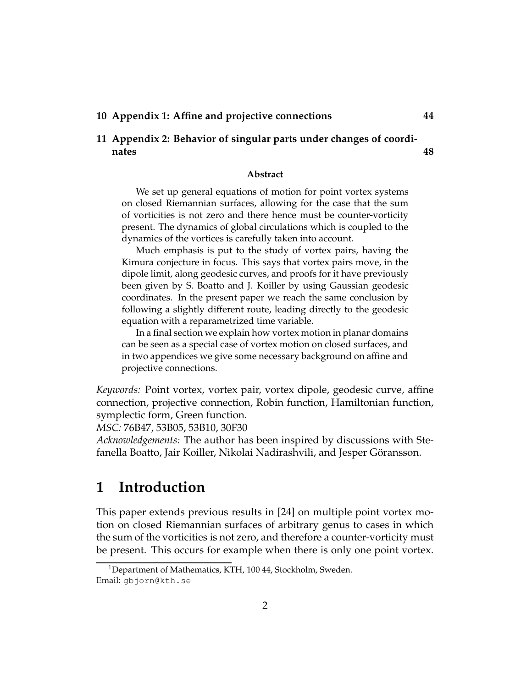#### **10 Appendix 1: Affine and projective connections 44**

#### **11 Appendix 2: Behavior of singular parts under changes of coordinates 48**

#### **Abstract**

We set up general equations of motion for point vortex systems on closed Riemannian surfaces, allowing for the case that the sum of vorticities is not zero and there hence must be counter-vorticity present. The dynamics of global circulations which is coupled to the dynamics of the vortices is carefully taken into account.

Much emphasis is put to the study of vortex pairs, having the Kimura conjecture in focus. This says that vortex pairs move, in the dipole limit, along geodesic curves, and proofs for it have previously been given by S. Boatto and J. Koiller by using Gaussian geodesic coordinates. In the present paper we reach the same conclusion by following a slightly different route, leading directly to the geodesic equation with a reparametrized time variable.

In a final section we explain how vortex motion in planar domains can be seen as a special case of vortex motion on closed surfaces, and in two appendices we give some necessary background on affine and projective connections.

*Keywords:* Point vortex, vortex pair, vortex dipole, geodesic curve, affine connection, projective connection, Robin function, Hamiltonian function, symplectic form, Green function.

*MSC:* 76B47, 53B05, 53B10, 30F30

*Acknowledgements:* The author has been inspired by discussions with Stefanella Boatto, Jair Koiller, Nikolai Nadirashvili, and Jesper Göransson.

# **1 Introduction**

This paper extends previous results in [24] on multiple point vortex motion on closed Riemannian surfaces of arbitrary genus to cases in which the sum of the vorticities is not zero, and therefore a counter-vorticity must be present. This occurs for example when there is only one point vortex.

<sup>&</sup>lt;sup>1</sup>Department of Mathematics, KTH, 100 44, Stockholm, Sweden. Email: gbjorn@kth.se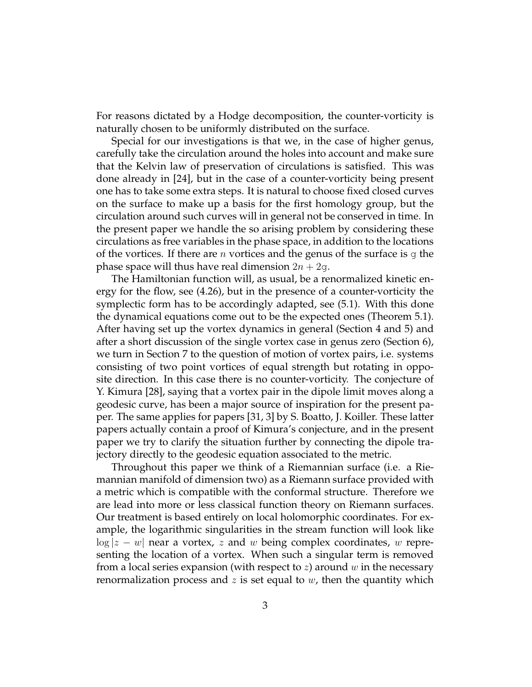For reasons dictated by a Hodge decomposition, the counter-vorticity is naturally chosen to be uniformly distributed on the surface.

Special for our investigations is that we, in the case of higher genus, carefully take the circulation around the holes into account and make sure that the Kelvin law of preservation of circulations is satisfied. This was done already in [24], but in the case of a counter-vorticity being present one has to take some extra steps. It is natural to choose fixed closed curves on the surface to make up a basis for the first homology group, but the circulation around such curves will in general not be conserved in time. In the present paper we handle the so arising problem by considering these circulations as free variables in the phase space, in addition to the locations of the vortices. If there are *n* vortices and the genus of the surface is g the phase space will thus have real dimension  $2n + 2q$ .

The Hamiltonian function will, as usual, be a renormalized kinetic energy for the flow, see (4.26), but in the presence of a counter-vorticity the symplectic form has to be accordingly adapted, see (5.1). With this done the dynamical equations come out to be the expected ones (Theorem 5.1). After having set up the vortex dynamics in general (Section 4 and 5) and after a short discussion of the single vortex case in genus zero (Section 6), we turn in Section 7 to the question of motion of vortex pairs, i.e. systems consisting of two point vortices of equal strength but rotating in opposite direction. In this case there is no counter-vorticity. The conjecture of Y. Kimura [28], saying that a vortex pair in the dipole limit moves along a geodesic curve, has been a major source of inspiration for the present paper. The same applies for papers [31, 3] by S. Boatto, J. Koiller. These latter papers actually contain a proof of Kimura's conjecture, and in the present paper we try to clarify the situation further by connecting the dipole trajectory directly to the geodesic equation associated to the metric.

Throughout this paper we think of a Riemannian surface (i.e. a Riemannian manifold of dimension two) as a Riemann surface provided with a metric which is compatible with the conformal structure. Therefore we are lead into more or less classical function theory on Riemann surfaces. Our treatment is based entirely on local holomorphic coordinates. For example, the logarithmic singularities in the stream function will look like  $\log|z-w|$  near a vortex, z and w being complex coordinates, w representing the location of a vortex. When such a singular term is removed from a local series expansion (with respect to  $z$ ) around  $w$  in the necessary renormalization process and z is set equal to  $w$ , then the quantity which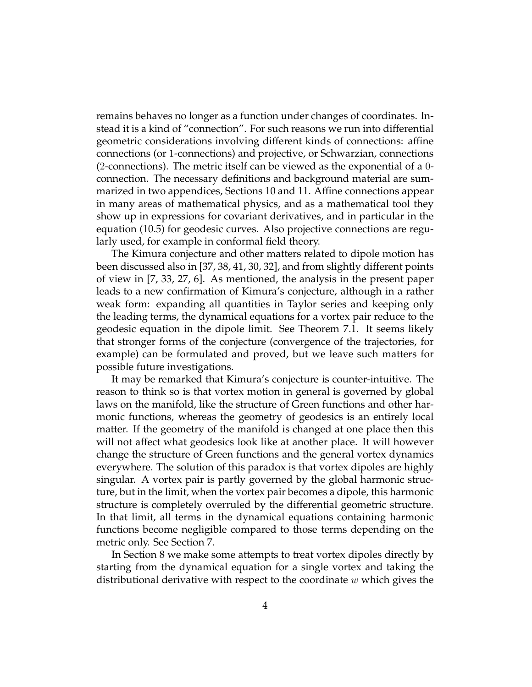remains behaves no longer as a function under changes of coordinates. Instead it is a kind of "connection". For such reasons we run into differential geometric considerations involving different kinds of connections: affine connections (or 1-connections) and projective, or Schwarzian, connections (2-connections). The metric itself can be viewed as the exponential of a 0 connection. The necessary definitions and background material are summarized in two appendices, Sections 10 and 11. Affine connections appear in many areas of mathematical physics, and as a mathematical tool they show up in expressions for covariant derivatives, and in particular in the equation (10.5) for geodesic curves. Also projective connections are regularly used, for example in conformal field theory.

The Kimura conjecture and other matters related to dipole motion has been discussed also in [37, 38, 41, 30, 32], and from slightly different points of view in [7, 33, 27, 6]. As mentioned, the analysis in the present paper leads to a new confirmation of Kimura's conjecture, although in a rather weak form: expanding all quantities in Taylor series and keeping only the leading terms, the dynamical equations for a vortex pair reduce to the geodesic equation in the dipole limit. See Theorem 7.1. It seems likely that stronger forms of the conjecture (convergence of the trajectories, for example) can be formulated and proved, but we leave such matters for possible future investigations.

It may be remarked that Kimura's conjecture is counter-intuitive. The reason to think so is that vortex motion in general is governed by global laws on the manifold, like the structure of Green functions and other harmonic functions, whereas the geometry of geodesics is an entirely local matter. If the geometry of the manifold is changed at one place then this will not affect what geodesics look like at another place. It will however change the structure of Green functions and the general vortex dynamics everywhere. The solution of this paradox is that vortex dipoles are highly singular. A vortex pair is partly governed by the global harmonic structure, but in the limit, when the vortex pair becomes a dipole, this harmonic structure is completely overruled by the differential geometric structure. In that limit, all terms in the dynamical equations containing harmonic functions become negligible compared to those terms depending on the metric only. See Section 7.

In Section 8 we make some attempts to treat vortex dipoles directly by starting from the dynamical equation for a single vortex and taking the distributional derivative with respect to the coordinate  $w$  which gives the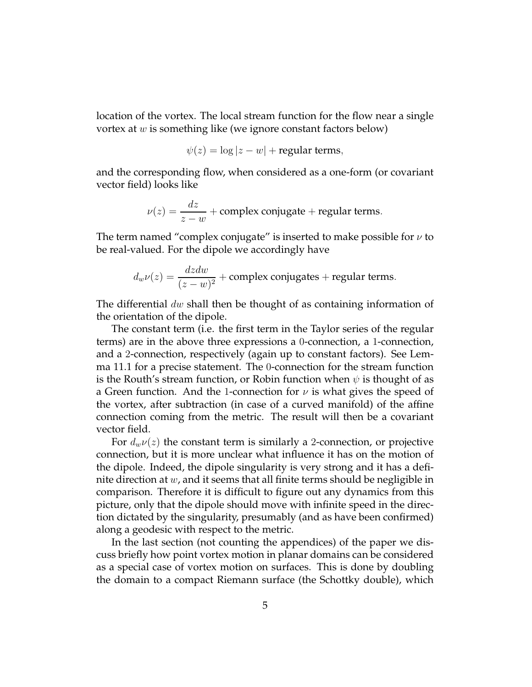location of the vortex. The local stream function for the flow near a single vortex at w is something like (we ignore constant factors below)

$$
\psi(z) = \log|z - w| + \text{regular terms},
$$

and the corresponding flow, when considered as a one-form (or covariant vector field) looks like

$$
\nu(z) = \frac{dz}{z - w} + \text{complex conjugate} + \text{regular terms}.
$$

The term named "complex conjugate" is inserted to make possible for  $\nu$  to be real-valued. For the dipole we accordingly have

$$
d_w \nu(z) = \frac{dzdw}{(z-w)^2} + \text{complex conjugates} + \text{regular terms}.
$$

The differential  $dw$  shall then be thought of as containing information of the orientation of the dipole.

The constant term (i.e. the first term in the Taylor series of the regular terms) are in the above three expressions a 0-connection, a 1-connection, and a 2-connection, respectively (again up to constant factors). See Lemma 11.1 for a precise statement. The 0-connection for the stream function is the Routh's stream function, or Robin function when  $\psi$  is thought of as a Green function. And the 1-connection for  $\nu$  is what gives the speed of the vortex, after subtraction (in case of a curved manifold) of the affine connection coming from the metric. The result will then be a covariant vector field.

For  $d_w \nu(z)$  the constant term is similarly a 2-connection, or projective connection, but it is more unclear what influence it has on the motion of the dipole. Indeed, the dipole singularity is very strong and it has a definite direction at  $w$ , and it seems that all finite terms should be negligible in comparison. Therefore it is difficult to figure out any dynamics from this picture, only that the dipole should move with infinite speed in the direction dictated by the singularity, presumably (and as have been confirmed) along a geodesic with respect to the metric.

In the last section (not counting the appendices) of the paper we discuss briefly how point vortex motion in planar domains can be considered as a special case of vortex motion on surfaces. This is done by doubling the domain to a compact Riemann surface (the Schottky double), which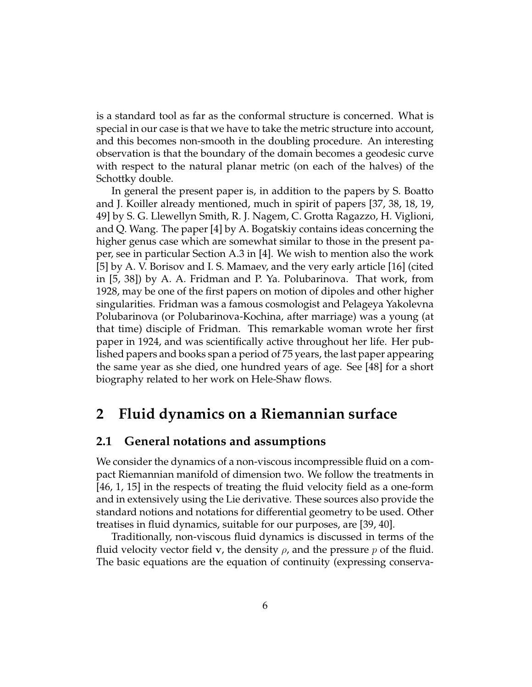is a standard tool as far as the conformal structure is concerned. What is special in our case is that we have to take the metric structure into account, and this becomes non-smooth in the doubling procedure. An interesting observation is that the boundary of the domain becomes a geodesic curve with respect to the natural planar metric (on each of the halves) of the Schottky double.

In general the present paper is, in addition to the papers by S. Boatto and J. Koiller already mentioned, much in spirit of papers [37, 38, 18, 19, 49] by S. G. Llewellyn Smith, R. J. Nagem, C. Grotta Ragazzo, H. Viglioni, and Q. Wang. The paper [4] by A. Bogatskiy contains ideas concerning the higher genus case which are somewhat similar to those in the present paper, see in particular Section A.3 in [4]. We wish to mention also the work [5] by A. V. Borisov and I. S. Mamaev, and the very early article [16] (cited in [5, 38]) by A. A. Fridman and P. Ya. Polubarinova. That work, from 1928, may be one of the first papers on motion of dipoles and other higher singularities. Fridman was a famous cosmologist and Pelageya Yakolevna Polubarinova (or Polubarinova-Kochina, after marriage) was a young (at that time) disciple of Fridman. This remarkable woman wrote her first paper in 1924, and was scientifically active throughout her life. Her published papers and books span a period of 75 years, the last paper appearing the same year as she died, one hundred years of age. See [48] for a short biography related to her work on Hele-Shaw flows.

## **2 Fluid dynamics on a Riemannian surface**

#### **2.1 General notations and assumptions**

We consider the dynamics of a non-viscous incompressible fluid on a compact Riemannian manifold of dimension two. We follow the treatments in [46, 1, 15] in the respects of treating the fluid velocity field as a one-form and in extensively using the Lie derivative. These sources also provide the standard notions and notations for differential geometry to be used. Other treatises in fluid dynamics, suitable for our purposes, are [39, 40].

Traditionally, non-viscous fluid dynamics is discussed in terms of the fluid velocity vector field v, the density  $\rho$ , and the pressure p of the fluid. The basic equations are the equation of continuity (expressing conserva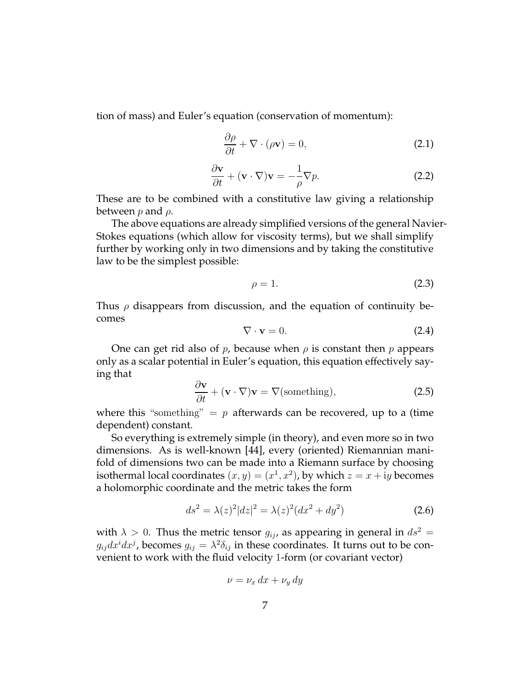tion of mass) and Euler's equation (conservation of momentum):

$$
\frac{\partial \rho}{\partial t} + \nabla \cdot (\rho \mathbf{v}) = 0, \tag{2.1}
$$

$$
\frac{\partial \mathbf{v}}{\partial t} + (\mathbf{v} \cdot \nabla) \mathbf{v} = -\frac{1}{\rho} \nabla p.
$$
 (2.2)

These are to be combined with a constitutive law giving a relationship between  $p$  and  $\rho$ .

The above equations are already simplified versions of the general Navier-Stokes equations (which allow for viscosity terms), but we shall simplify further by working only in two dimensions and by taking the constitutive law to be the simplest possible:

$$
\rho = 1. \tag{2.3}
$$

Thus  $\rho$  disappears from discussion, and the equation of continuity becomes

$$
\nabla \cdot \mathbf{v} = 0. \tag{2.4}
$$

One can get rid also of p, because when  $\rho$  is constant then p appears only as a scalar potential in Euler's equation, this equation effectively saying that

$$
\frac{\partial \mathbf{v}}{\partial t} + (\mathbf{v} \cdot \nabla) \mathbf{v} = \nabla(\text{something}),\tag{2.5}
$$

where this "something"  $= p$  afterwards can be recovered, up to a (time dependent) constant.

So everything is extremely simple (in theory), and even more so in two dimensions. As is well-known [44], every (oriented) Riemannian manifold of dimensions two can be made into a Riemann surface by choosing isothermal local coordinates  $(x, y) = (x^1, x^2)$ , by which  $z = x + iy$  becomes a holomorphic coordinate and the metric takes the form

$$
ds^{2} = \lambda(z)^{2} |dz|^{2} = \lambda(z)^{2} (dx^{2} + dy^{2})
$$
 (2.6)

with  $\lambda > 0$ . Thus the metric tensor  $g_{ij}$ , as appearing in general in  $ds^2 =$  $g_{ij}dx^idx^j$ , becomes  $g_{ij}=\lambda^2\delta_{ij}$  in these coordinates. It turns out to be convenient to work with the fluid velocity 1-form (or covariant vector)

$$
\nu = \nu_x \, dx + \nu_y \, dy
$$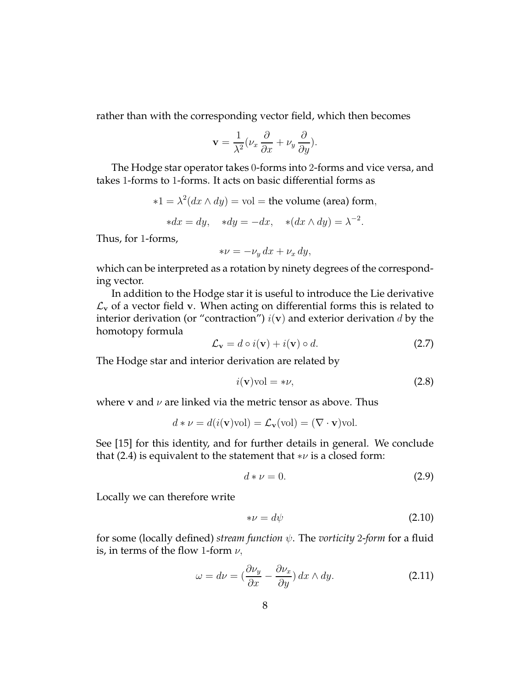rather than with the corresponding vector field, which then becomes

$$
\mathbf{v} = \frac{1}{\lambda^2} (\nu_x \frac{\partial}{\partial x} + \nu_y \frac{\partial}{\partial y}).
$$

The Hodge star operator takes 0-forms into 2-forms and vice versa, and takes 1-forms to 1-forms. It acts on basic differential forms as

$$
*1 = \lambda^2(dx \wedge dy) = \text{vol} = \text{the volume (area) form},
$$

$$
*dx = dy, \quad *dy = -dx, \quad *(dx \wedge dy) = \lambda^{-2}.
$$

Thus, for 1-forms,

$$
*\nu = -\nu_y \, dx + \nu_x \, dy,
$$

which can be interpreted as a rotation by ninety degrees of the corresponding vector.

In addition to the Hodge star it is useful to introduce the Lie derivative  $\mathcal{L}_{\mathbf{v}}$  of a vector field v. When acting on differential forms this is related to interior derivation (or "contraction")  $i(\mathbf{v})$  and exterior derivation d by the homotopy formula

$$
\mathcal{L}_{\mathbf{v}} = d \circ i(\mathbf{v}) + i(\mathbf{v}) \circ d. \tag{2.7}
$$

The Hodge star and interior derivation are related by

$$
i(\mathbf{v})\text{vol} = *\nu,\tag{2.8}
$$

where v and  $\nu$  are linked via the metric tensor as above. Thus

$$
d * \nu = d(i(\mathbf{v})\text{vol}) = \mathcal{L}_{\mathbf{v}}(\text{vol}) = (\nabla \cdot \mathbf{v})\text{vol}.
$$

See [15] for this identity, and for further details in general. We conclude that (2.4) is equivalent to the statement that  $*\nu$  is a closed form:

$$
d * \nu = 0. \tag{2.9}
$$

Locally we can therefore write

$$
*\nu = d\psi \tag{2.10}
$$

for some (locally defined) *stream function* ψ. The *vorticity* 2-*form* for a fluid is, in terms of the flow 1-form  $\nu$ ,

$$
\omega = d\nu = \left(\frac{\partial \nu_y}{\partial x} - \frac{\partial \nu_x}{\partial y}\right) dx \wedge dy. \tag{2.11}
$$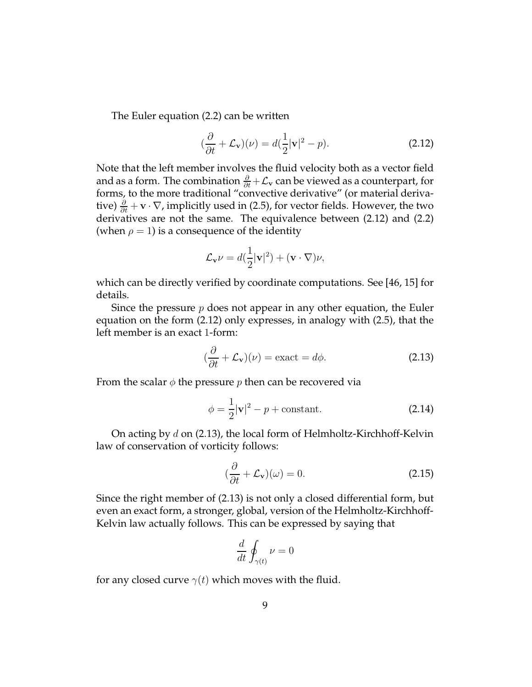The Euler equation (2.2) can be written

$$
(\frac{\partial}{\partial t} + \mathcal{L}_{\mathbf{v}})(\nu) = d(\frac{1}{2}|\mathbf{v}|^2 - p).
$$
 (2.12)

Note that the left member involves the fluid velocity both as a vector field and as a form. The combination  $\frac{\partial}{\partial t} + \mathcal{L}_{\mathbf{v}}$  can be viewed as a counterpart, for forms, to the more traditional "convective derivative" (or material derivative)  $\frac{\partial}{\partial t} + \mathbf{v} \cdot \nabla$ , implicitly used in (2.5), for vector fields. However, the two derivatives are not the same. The equivalence between (2.12) and (2.2) (when  $\rho = 1$ ) is a consequence of the identity

$$
\mathcal{L}_{\mathbf{v}}\nu = d(\frac{1}{2}|\mathbf{v}|^2) + (\mathbf{v} \cdot \nabla)\nu,
$$

which can be directly verified by coordinate computations. See [46, 15] for details.

Since the pressure  $p$  does not appear in any other equation, the Euler equation on the form (2.12) only expresses, in analogy with (2.5), that the left member is an exact 1-form:

$$
(\frac{\partial}{\partial t} + \mathcal{L}_{\mathbf{v}})(\nu) = \text{exact} = d\phi.
$$
 (2.13)

From the scalar  $\phi$  the pressure p then can be recovered via

$$
\phi = \frac{1}{2}|\mathbf{v}|^2 - p + \text{constant.} \tag{2.14}
$$

On acting by d on (2.13), the local form of Helmholtz-Kirchhoff-Kelvin law of conservation of vorticity follows:

$$
(\frac{\partial}{\partial t} + \mathcal{L}_{\mathbf{v}})(\omega) = 0.
$$
 (2.15)

Since the right member of (2.13) is not only a closed differential form, but even an exact form, a stronger, global, version of the Helmholtz-Kirchhoff-Kelvin law actually follows. This can be expressed by saying that

$$
\frac{d}{dt} \oint_{\gamma(t)} \nu = 0
$$

for any closed curve  $\gamma(t)$  which moves with the fluid.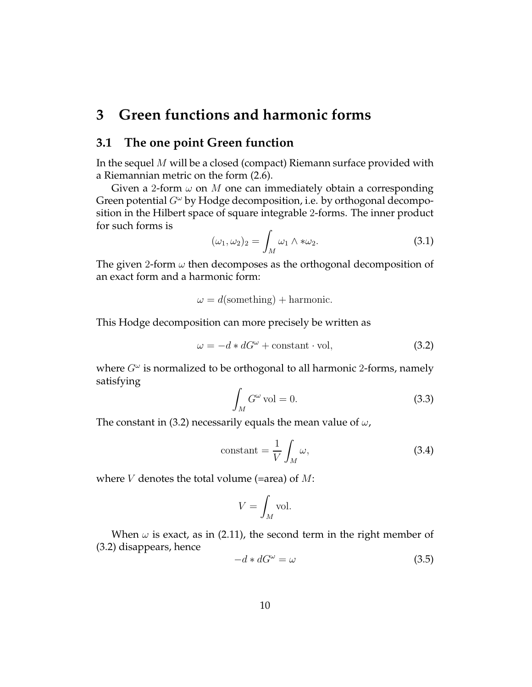# **3 Green functions and harmonic forms**

#### **3.1 The one point Green function**

In the sequel M will be a closed (compact) Riemann surface provided with a Riemannian metric on the form (2.6).

Given a 2-form  $\omega$  on M one can immediately obtain a corresponding Green potential  $G^{\omega}$  by Hodge decomposition, i.e. by orthogonal decomposition in the Hilbert space of square integrable 2-forms. The inner product for such forms is

$$
(\omega_1, \omega_2)_2 = \int_M \omega_1 \wedge * \omega_2. \tag{3.1}
$$

The given 2-form  $\omega$  then decomposes as the orthogonal decomposition of an exact form and a harmonic form:

 $\omega = d(\text{something}) + \text{harmonic}.$ 

This Hodge decomposition can more precisely be written as

$$
\omega = -d * dG^{\omega} + \text{constant} \cdot \text{vol}, \tag{3.2}
$$

where  $G^{\omega}$  is normalized to be orthogonal to all harmonic 2-forms, namely satisfying

$$
\int_{M} G^{\omega} \,\mathrm{vol} = 0. \tag{3.3}
$$

The constant in (3.2) necessarily equals the mean value of  $\omega$ ,

$$
constant = \frac{1}{V} \int_{M} \omega,
$$
\n(3.4)

where  $V$  denotes the total volume (=area) of  $M$ :

$$
V = \int_M \text{vol}.
$$

When  $\omega$  is exact, as in (2.11), the second term in the right member of (3.2) disappears, hence

$$
-d * dG^{\omega} = \omega \tag{3.5}
$$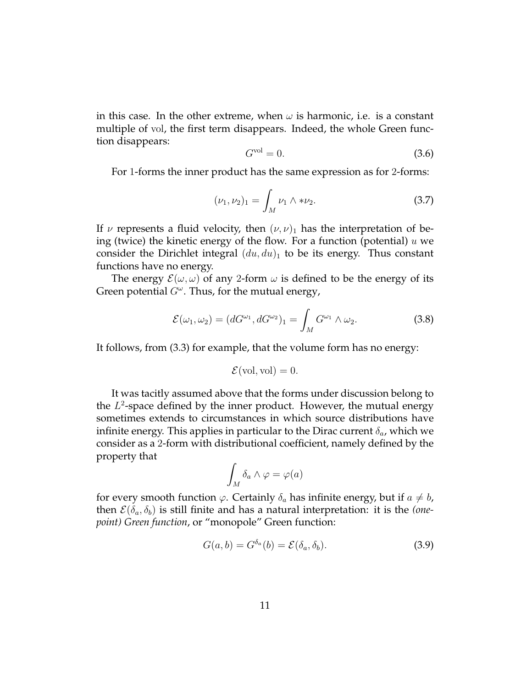in this case. In the other extreme, when  $\omega$  is harmonic, i.e. is a constant multiple of vol, the first term disappears. Indeed, the whole Green function disappears:

$$
G^{\text{vol}} = 0. \tag{3.6}
$$

For 1-forms the inner product has the same expression as for 2-forms:

$$
(\nu_1, \nu_2)_1 = \int_M \nu_1 \wedge * \nu_2. \tag{3.7}
$$

If  $\nu$  represents a fluid velocity, then  $(\nu, \nu)_1$  has the interpretation of being (twice) the kinetic energy of the flow. For a function (potential)  $u$  we consider the Dirichlet integral  $(du, du)_1$  to be its energy. Thus constant functions have no energy.

The energy  $\mathcal{E}(\omega,\omega)$  of any 2-form  $\omega$  is defined to be the energy of its Green potential  $G^{\omega}$ . Thus, for the mutual energy,

$$
\mathcal{E}(\omega_1, \omega_2) = (dG^{\omega_1}, dG^{\omega_2})_1 = \int_M G^{\omega_1} \wedge \omega_2.
$$
 (3.8)

It follows, from (3.3) for example, that the volume form has no energy:

$$
\mathcal{E}(\text{vol}, \text{vol}) = 0.
$$

It was tacitly assumed above that the forms under discussion belong to the  $L^2$ -space defined by the inner product. However, the mutual energy sometimes extends to circumstances in which source distributions have infinite energy. This applies in particular to the Dirac current  $\delta_a$ , which we consider as a 2-form with distributional coefficient, namely defined by the property that

$$
\int_M \delta_a \wedge \varphi = \varphi(a)
$$

for every smooth function  $\varphi$ . Certainly  $\delta_a$  has infinite energy, but if  $a \neq b$ , then  $\mathcal{E}(\delta_a, \delta_b)$  is still finite and has a natural interpretation: it is the *(onepoint) Green function*, or "monopole" Green function:

$$
G(a,b) = G^{\delta_a}(b) = \mathcal{E}(\delta_a, \delta_b).
$$
 (3.9)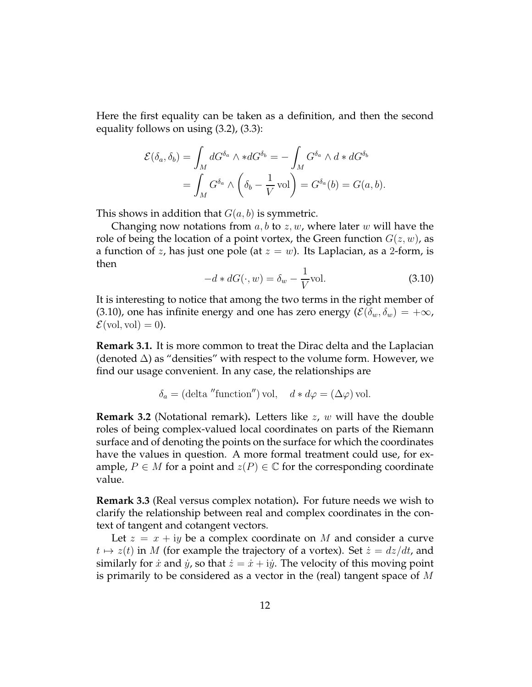Here the first equality can be taken as a definition, and then the second equality follows on using (3.2), (3.3):

$$
\mathcal{E}(\delta_a, \delta_b) = \int_M dG^{\delta_a} \wedge *dG^{\delta_b} = -\int_M G^{\delta_a} \wedge d * dG^{\delta_b}
$$
  
= 
$$
\int_M G^{\delta_a} \wedge \left(\delta_b - \frac{1}{V} \text{vol}\right) = G^{\delta_a}(b) = G(a, b).
$$

This shows in addition that  $G(a, b)$  is symmetric.

Changing now notations from  $a, b$  to  $z, w$ , where later w will have the role of being the location of a point vortex, the Green function  $G(z, w)$ , as a function of z, has just one pole (at  $z = w$ ). Its Laplacian, as a 2-form, is then

$$
-d * dG(\cdot, w) = \delta_w - \frac{1}{V} \text{vol.}
$$
\n(3.10)

It is interesting to notice that among the two terms in the right member of (3.10), one has infinite energy and one has zero energy ( $\mathcal{E}(\delta_w, \delta_w) = +\infty$ ,  $\mathcal{E}(\text{vol}, \text{vol}) = 0$ .

**Remark 3.1.** It is more common to treat the Dirac delta and the Laplacian (denoted  $\Delta$ ) as "densities" with respect to the volume form. However, we find our usage convenient. In any case, the relationships are

$$
\delta_a = (\text{delta}''\text{function}'') \text{ vol}, \quad d * d\varphi = (\Delta \varphi) \text{ vol}.
$$

**Remark 3.2** (Notational remark)**.** Letters like z, w will have the double roles of being complex-valued local coordinates on parts of the Riemann surface and of denoting the points on the surface for which the coordinates have the values in question. A more formal treatment could use, for example,  $P \in M$  for a point and  $z(P) \in \mathbb{C}$  for the corresponding coordinate value.

**Remark 3.3** (Real versus complex notation)**.** For future needs we wish to clarify the relationship between real and complex coordinates in the context of tangent and cotangent vectors.

Let  $z = x + iy$  be a complex coordinate on M and consider a curve  $t \mapsto z(t)$  in M (for example the trajectory of a vortex). Set  $\dot{z} = dz/dt$ , and similarly for x and y, so that  $\dot{z} = \dot{x} + i\dot{y}$ . The velocity of this moving point is primarily to be considered as a vector in the (real) tangent space of M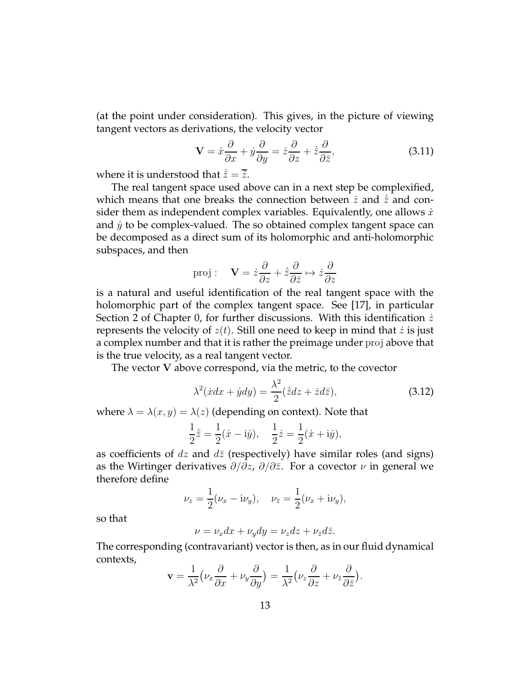(at the point under consideration). This gives, in the picture of viewing tangent vectors as derivations, the velocity vector

$$
\mathbf{V} = \dot{x}\frac{\partial}{\partial x} + \dot{y}\frac{\partial}{\partial y} = \dot{z}\frac{\partial}{\partial z} + \dot{\bar{z}}\frac{\partial}{\partial \bar{z}},\tag{3.11}
$$

where it is understood that  $\dot{\overline{z}} = \overline{\overline{z}}$ .

The real tangent space used above can in a next step be complexified, which means that one breaks the connection between  $\dot{z}$  and  $\dot{\bar{z}}$  and consider them as independent complex variables. Equivalently, one allows  $\dot{x}$ and  $\dot{y}$  to be complex-valued. The so obtained complex tangent space can be decomposed as a direct sum of its holomorphic and anti-holomorphic subspaces, and then

proj: 
$$
\mathbf{V} = \dot{z}\frac{\partial}{\partial z} + \dot{\overline{z}}\frac{\partial}{\partial \overline{z}} \mapsto \dot{z}\frac{\partial}{\partial z}
$$

is a natural and useful identification of the real tangent space with the holomorphic part of the complex tangent space. See [17], in particular Section 2 of Chapter 0, for further discussions. With this identification  $\dot{z}$ represents the velocity of  $z(t)$ . Still one need to keep in mind that z is just a complex number and that it is rather the preimage under proj above that is the true velocity, as a real tangent vector.

The vector V above correspond, via the metric, to the covector

$$
\lambda^2(\dot{x}dx + \dot{y}dy) = \frac{\lambda^2}{2}(\dot{\bar{z}}dz + \dot{z}d\bar{z}),\tag{3.12}
$$

where  $\lambda = \lambda(x, y) = \lambda(z)$  (depending on context). Note that

$$
\frac{1}{2}\dot{\bar{z}} = \frac{1}{2}(\dot{x} - i\dot{y}), \quad \frac{1}{2}\dot{z} = \frac{1}{2}(\dot{x} + i\dot{y}),
$$

as coefficients of dz and  $d\bar{z}$  (respectively) have similar roles (and signs) as the Wirtinger derivatives  $\partial/\partial z$ ,  $\partial/\partial \bar{z}$ . For a covector  $\nu$  in general we therefore define

$$
\nu_z = \frac{1}{2}(\nu_x - i\nu_y), \quad \nu_{\bar{z}} = \frac{1}{2}(\nu_x + i\nu_y),
$$

so that

$$
\nu = \nu_x dx + \nu_y dy = \nu_z dz + \nu_{\bar{z}} d\bar{z}.
$$

The corresponding (contravariant) vector is then, as in our fluid dynamical contexts,

$$
\mathbf{v} = \frac{1}{\lambda^2} \left( \nu_x \frac{\partial}{\partial x} + \nu_y \frac{\partial}{\partial y} \right) = \frac{1}{\lambda^2} \left( \nu_z \frac{\partial}{\partial z} + \nu_{\overline{z}} \frac{\partial}{\partial \overline{z}} \right).
$$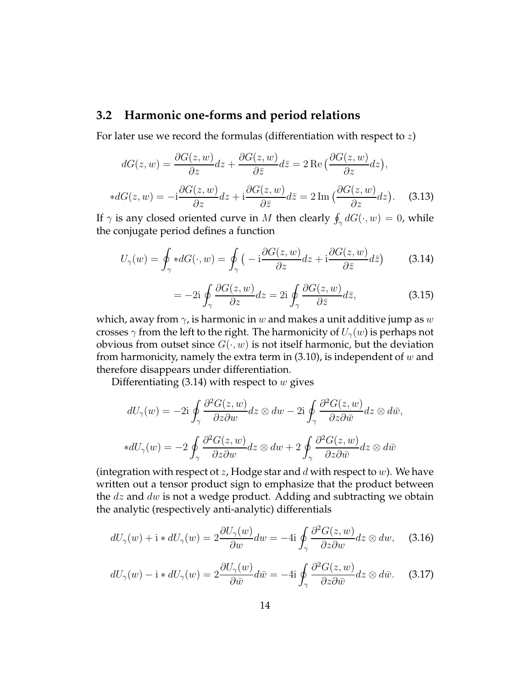#### **3.2 Harmonic one-forms and period relations**

For later use we record the formulas (differentiation with respect to  $z$ )

$$
dG(z, w) = \frac{\partial G(z, w)}{\partial z} dz + \frac{\partial G(z, w)}{\partial \bar{z}} d\bar{z} = 2 \operatorname{Re} \left( \frac{\partial G(z, w)}{\partial z} dz \right),
$$
  
\n
$$
*dG(z, w) = -i \frac{\partial G(z, w)}{\partial z} dz + i \frac{\partial G(z, w)}{\partial \bar{z}} d\bar{z} = 2 \operatorname{Im} \left( \frac{\partial G(z, w)}{\partial z} dz \right). \tag{3.13}
$$

If  $\gamma$  is any closed oriented curve in M then clearly  $\oint_{\gamma} dG(\cdot, w) = 0$ , while the conjugate period defines a function

$$
U_{\gamma}(w) = \oint_{\gamma} *dG(\cdot, w) = \oint_{\gamma} \left( -\mathrm{i} \frac{\partial G(z, w)}{\partial z} dz + \mathrm{i} \frac{\partial G(z, w)}{\partial \bar{z}} d\bar{z} \right) \tag{3.14}
$$

$$
= -2i \oint_{\gamma} \frac{\partial G(z, w)}{\partial z} dz = 2i \oint_{\gamma} \frac{\partial G(z, w)}{\partial \bar{z}} d\bar{z},
$$
(3.15)

which, away from  $\gamma$ , is harmonic in w and makes a unit additive jump as w crosses  $\gamma$  from the left to the right. The harmonicity of  $U_{\gamma}(w)$  is perhaps not obvious from outset since  $G(\cdot, w)$  is not itself harmonic, but the deviation from harmonicity, namely the extra term in  $(3.10)$ , is independent of w and therefore disappears under differentiation.

Differentiating  $(3.14)$  with respect to w gives

$$
dU_{\gamma}(w) = -2i \oint_{\gamma} \frac{\partial^2 G(z, w)}{\partial z \partial w} dz \otimes dw - 2i \oint_{\gamma} \frac{\partial^2 G(z, w)}{\partial z \partial \bar{w}} dz \otimes d\bar{w},
$$
  
\n
$$
*dU_{\gamma}(w) = -2 \oint_{\gamma} \frac{\partial^2 G(z, w)}{\partial z \partial w} dz \otimes dw + 2 \oint_{\gamma} \frac{\partial^2 G(z, w)}{\partial z \partial \bar{w}} dz \otimes d\bar{w}
$$

(integration with respect ot z, Hodge star and  $d$  with respect to  $w$ ). We have written out a tensor product sign to emphasize that the product between the  $dz$  and  $dw$  is not a wedge product. Adding and subtracting we obtain the analytic (respectively anti-analytic) differentials

$$
dU_{\gamma}(w) + \mathbf{i} * dU_{\gamma}(w) = 2\frac{\partial U_{\gamma}(w)}{\partial w} dw = -4\mathbf{i} \oint_{\gamma} \frac{\partial^2 G(z, w)}{\partial z \partial w} dz \otimes dw, \quad (3.16)
$$

$$
dU_{\gamma}(w) - \mathbf{i} * dU_{\gamma}(w) = 2 \frac{\partial U_{\gamma}(w)}{\partial \bar{w}} d\bar{w} = -4\mathbf{i} \oint_{\gamma} \frac{\partial^2 G(z, w)}{\partial z \partial \bar{w}} dz \otimes d\bar{w}.
$$
 (3.17)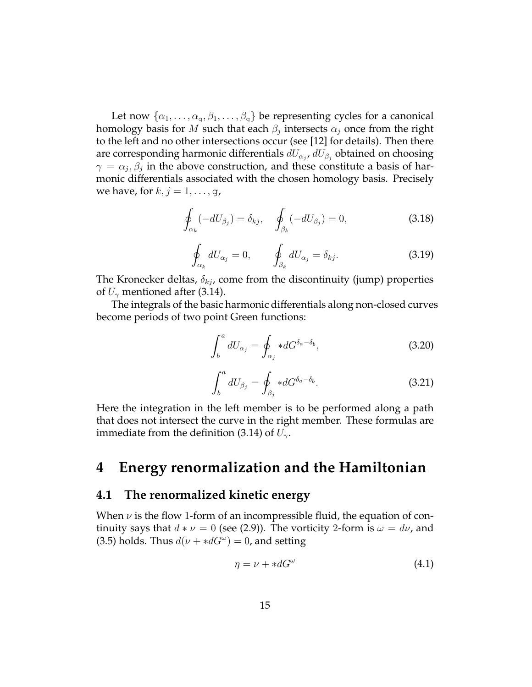Let now  $\{\alpha_1,\ldots,\alpha_{q},\beta_1,\ldots,\beta_{q}\}\$ be representing cycles for a canonical homology basis for  $M$  such that each  $\beta_j$  intersects  $\alpha_j$  once from the right to the left and no other intersections occur (see [12] for details). Then there are corresponding harmonic differentials  $dU_{\alpha_j}$ ,  $dU_{\beta_j}$  obtained on choosing  $\gamma = \alpha_j, \beta_j$  in the above construction, and these constitute a basis of harmonic differentials associated with the chosen homology basis. Precisely we have, for  $k, j = 1, \ldots, g$ ,

$$
\oint_{\alpha_k} (-dU_{\beta_j}) = \delta_{kj}, \quad \oint_{\beta_k} (-dU_{\beta_j}) = 0,
$$
\n(3.18)

$$
\oint_{\alpha_k} dU_{\alpha_j} = 0, \qquad \oint_{\beta_k} dU_{\alpha_j} = \delta_{kj}.
$$
\n(3.19)

The Kronecker deltas,  $\delta_{kj}$ , come from the discontinuity (jump) properties of  $U_{\gamma}$  mentioned after (3.14).

The integrals of the basic harmonic differentials along non-closed curves become periods of two point Green functions:

$$
\int_{b}^{a} dU_{\alpha_{j}} = \oint_{\alpha_{j}} *dG^{\delta_{a}-\delta_{b}}, \qquad (3.20)
$$

$$
\int_{b}^{a} dU_{\beta_{j}} = \oint_{\beta_{j}} *dG^{\delta_{a}-\delta_{b}}.
$$
\n(3.21)

Here the integration in the left member is to be performed along a path that does not intersect the curve in the right member. These formulas are immediate from the definition (3.14) of  $U_{\gamma}$ .

## **4 Energy renormalization and the Hamiltonian**

#### **4.1 The renormalized kinetic energy**

When  $\nu$  is the flow 1-form of an incompressible fluid, the equation of continuity says that  $d * \nu = 0$  (see (2.9)). The vorticity 2-form is  $\omega = d\nu$ , and (3.5) holds. Thus  $d(\nu + *dG^{\omega}) = 0$ , and setting

$$
\eta = \nu + *dG^{\omega} \tag{4.1}
$$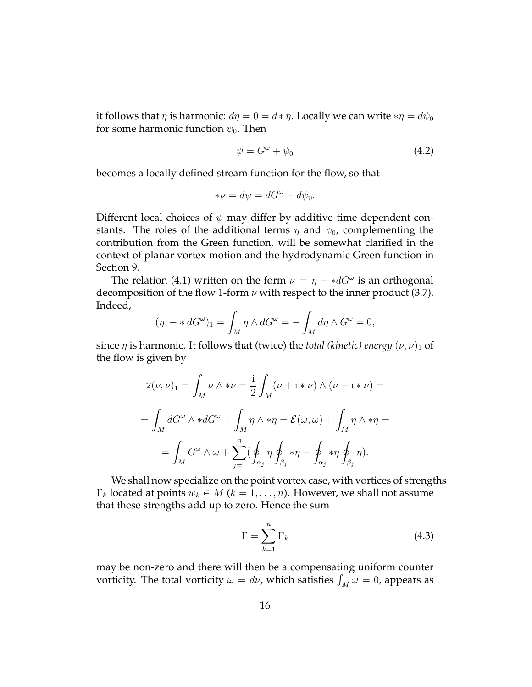it follows that  $\eta$  is harmonic:  $d\eta = 0 = d * \eta$ . Locally we can write  $*\eta = d\psi_0$ for some harmonic function  $\psi_0$ . Then

$$
\psi = G^{\omega} + \psi_0 \tag{4.2}
$$

becomes a locally defined stream function for the flow, so that

$$
*\nu = d\psi = dG^{\omega} + d\psi_0.
$$

Different local choices of  $\psi$  may differ by additive time dependent constants. The roles of the additional terms  $\eta$  and  $\psi_0$ , complementing the contribution from the Green function, will be somewhat clarified in the context of planar vortex motion and the hydrodynamic Green function in Section 9.

The relation (4.1) written on the form  $\nu = \eta - *dG^{\omega}$  is an orthogonal decomposition of the flow 1-form  $\nu$  with respect to the inner product (3.7). Indeed,

$$
(\eta, - * dG^{\omega})_1 = \int_M \eta \wedge dG^{\omega} = - \int_M d\eta \wedge G^{\omega} = 0,
$$

since  $\eta$  is harmonic. It follows that (twice) the *total (kinetic) energy*  $(\nu, \nu)_1$  of the flow is given by

$$
2(\nu, \nu)_{1} = \int_{M} \nu \wedge * \nu = \frac{i}{2} \int_{M} (\nu + i * \nu) \wedge (\nu - i * \nu) =
$$
  
= 
$$
\int_{M} dG^{\omega} \wedge * dG^{\omega} + \int_{M} \eta \wedge * \eta = \mathcal{E}(\omega, \omega) + \int_{M} \eta \wedge * \eta =
$$
  
= 
$$
\int_{M} G^{\omega} \wedge \omega + \sum_{j=1}^{g} (\oint_{\alpha_{j}} \eta \oint_{\beta_{j}} * \eta - \oint_{\alpha_{j}} * \eta \oint_{\beta_{j}} \eta).
$$

We shall now specialize on the point vortex case, with vortices of strengths  $\Gamma_k$  located at points  $w_k \in M$  ( $k = 1, \ldots, n$ ). However, we shall not assume that these strengths add up to zero. Hence the sum

$$
\Gamma = \sum_{k=1}^{n} \Gamma_k \tag{4.3}
$$

may be non-zero and there will then be a compensating uniform counter vorticity. The total vorticity  $\omega = d\nu$ , which satisfies  $\int_M \omega = 0$ , appears as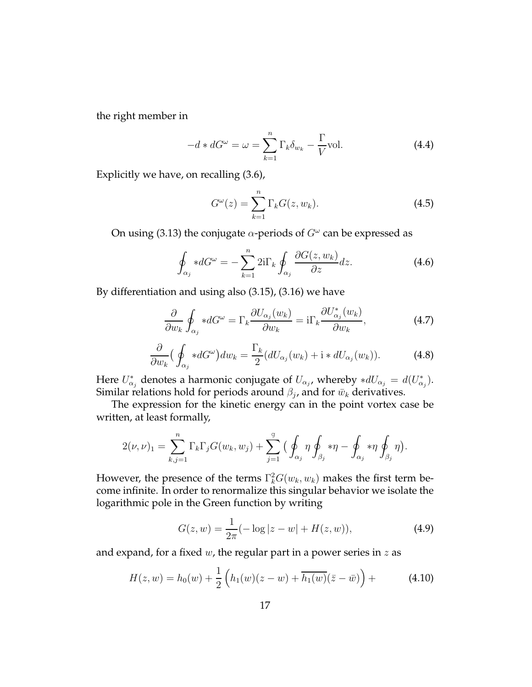the right member in

$$
-d * dG^{\omega} = \omega = \sum_{k=1}^{n} \Gamma_k \delta_{w_k} - \frac{\Gamma}{V} \text{vol.}
$$
 (4.4)

Explicitly we have, on recalling (3.6),

$$
G^{\omega}(z) = \sum_{k=1}^{n} \Gamma_k G(z, w_k).
$$
 (4.5)

On using (3.13) the conjugate  $\alpha$ -periods of  $G^\omega$  can be expressed as

$$
\oint_{\alpha_j} *dG^{\omega} = -\sum_{k=1}^n 2i\Gamma_k \oint_{\alpha_j} \frac{\partial G(z, w_k)}{\partial z} dz.
$$
\n(4.6)

By differentiation and using also (3.15), (3.16) we have

$$
\frac{\partial}{\partial w_k} \oint_{\alpha_j} *dG^{\omega} = \Gamma_k \frac{\partial U_{\alpha_j}(w_k)}{\partial w_k} = i\Gamma_k \frac{\partial U_{\alpha_j}^*(w_k)}{\partial w_k},\tag{4.7}
$$

$$
\frac{\partial}{\partial w_k} \Big( \oint_{\alpha_j} *dG^{\omega} \Big) dw_k = \frac{\Gamma_k}{2} (dU_{\alpha_j}(w_k) + \mathbf{i} * dU_{\alpha_j}(w_k)). \tag{4.8}
$$

Here  $U^*_{\alpha_j}$  denotes a harmonic conjugate of  $U_{\alpha_j}$ , whereby  $*dU_{\alpha_j} = d(U^*_{\alpha_j})$ . Similar relations hold for periods around  $\beta_j$ , and for  $\bar w_k$  derivatives.

The expression for the kinetic energy can in the point vortex case be written, at least formally,

$$
2(\nu,\nu)_1 = \sum_{k,j=1}^n \Gamma_k \Gamma_j G(w_k, w_j) + \sum_{j=1}^g \Big( \oint_{\alpha_j} \eta \oint_{\beta_j} \ast \eta - \oint_{\alpha_j} \ast \eta \oint_{\beta_j} \eta \Big).
$$

However, the presence of the terms  $\Gamma_k^2 G(w_k,w_k)$  makes the first term become infinite. In order to renormalize this singular behavior we isolate the logarithmic pole in the Green function by writing

$$
G(z, w) = \frac{1}{2\pi}(-\log|z - w| + H(z, w)),
$$
\n(4.9)

and expand, for a fixed  $w$ , the regular part in a power series in  $z$  as

$$
H(z, w) = h_0(w) + \frac{1}{2} \left( h_1(w)(z - w) + \overline{h_1(w)}(\bar{z} - \bar{w}) \right) +
$$
 (4.10)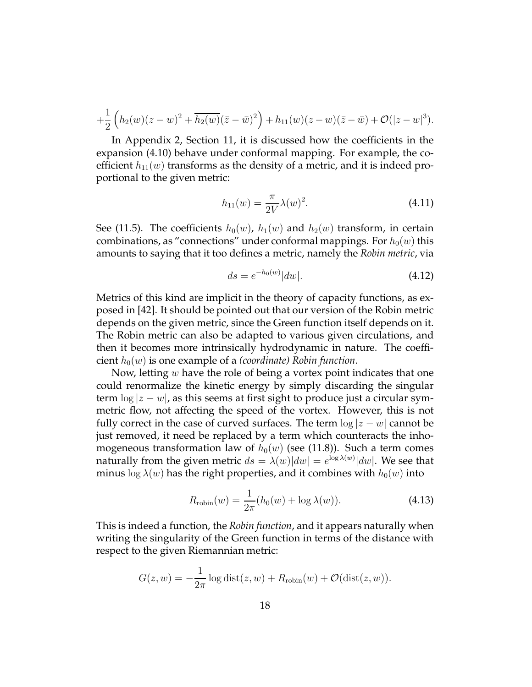$$
+\frac{1}{2}\left(h_2(w)(z-w)^2+\overline{h_2(w)}(\bar{z}-\bar{w})^2\right)+h_{11}(w)(z-w)(\bar{z}-\bar{w})+\mathcal{O}(|z-w|^3).
$$

In Appendix 2, Section 11, it is discussed how the coefficients in the expansion (4.10) behave under conformal mapping. For example, the coefficient  $h_{11}(w)$  transforms as the density of a metric, and it is indeed proportional to the given metric:

$$
h_{11}(w) = \frac{\pi}{2V} \lambda(w)^2.
$$
 (4.11)

See (11.5). The coefficients  $h_0(w)$ ,  $h_1(w)$  and  $h_2(w)$  transform, in certain combinations, as "connections" under conformal mappings. For  $h_0(w)$  this amounts to saying that it too defines a metric, namely the *Robin metric*, via

$$
ds = e^{-h_0(w)}|dw|.
$$
 (4.12)

Metrics of this kind are implicit in the theory of capacity functions, as exposed in [42]. It should be pointed out that our version of the Robin metric depends on the given metric, since the Green function itself depends on it. The Robin metric can also be adapted to various given circulations, and then it becomes more intrinsically hydrodynamic in nature. The coefficient  $h_0(w)$  is one example of a *(coordinate)* Robin function.

Now, letting  $w$  have the role of being a vortex point indicates that one could renormalize the kinetic energy by simply discarding the singular term  $\log|z-w|$ , as this seems at first sight to produce just a circular symmetric flow, not affecting the speed of the vortex. However, this is not fully correct in the case of curved surfaces. The term  $\log |z - w|$  cannot be just removed, it need be replaced by a term which counteracts the inhomogeneous transformation law of  $h_0(w)$  (see (11.8)). Such a term comes naturally from the given metric  $ds = \lambda(w)|dw| = e^{\log \lambda(w)}|dw|$ . We see that minus  $\log \lambda(w)$  has the right properties, and it combines with  $h_0(w)$  into

$$
R_{\text{robin}}(w) = \frac{1}{2\pi} (h_0(w) + \log \lambda(w)). \tag{4.13}
$$

This is indeed a function, the *Robin function*, and it appears naturally when writing the singularity of the Green function in terms of the distance with respect to the given Riemannian metric:

$$
G(z, w) = -\frac{1}{2\pi} \log \text{dist}(z, w) + R_{\text{robin}}(w) + \mathcal{O}(\text{dist}(z, w)).
$$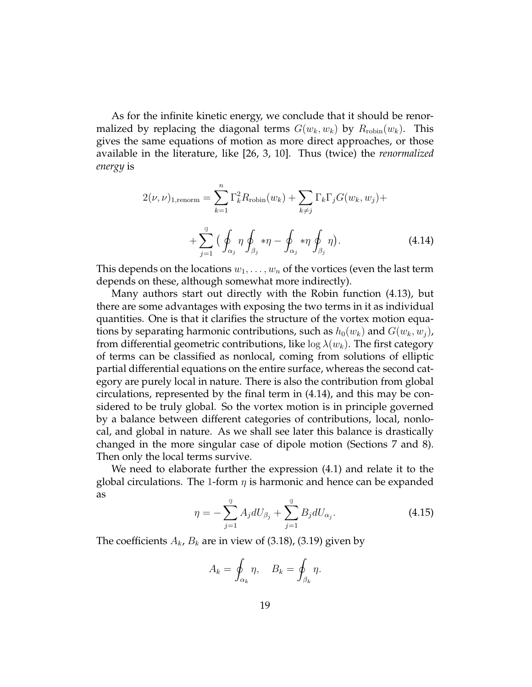As for the infinite kinetic energy, we conclude that it should be renormalized by replacing the diagonal terms  $G(w_k, w_k)$  by  $R_{\text{robin}}(w_k)$ . This gives the same equations of motion as more direct approaches, or those available in the literature, like [26, 3, 10]. Thus (twice) the *renormalized energy* is

$$
2(\nu, \nu)_{1, \text{renorm}} = \sum_{k=1}^{n} \Gamma_k^2 R_{\text{robin}}(w_k) + \sum_{k \neq j} \Gamma_k \Gamma_j G(w_k, w_j) +
$$

$$
+ \sum_{j=1}^{g} \Big( \oint_{\alpha_j} \eta \oint_{\beta_j} * \eta - \oint_{\alpha_j} * \eta \oint_{\beta_j} \eta \Big). \tag{4.14}
$$

This depends on the locations  $w_1, \ldots, w_n$  of the vortices (even the last term depends on these, although somewhat more indirectly).

Many authors start out directly with the Robin function (4.13), but there are some advantages with exposing the two terms in it as individual quantities. One is that it clarifies the structure of the vortex motion equations by separating harmonic contributions, such as  $h_0(w_k)$  and  $G(w_k, w_j)$ , from differential geometric contributions, like  $\log \lambda(w_k)$ . The first category of terms can be classified as nonlocal, coming from solutions of elliptic partial differential equations on the entire surface, whereas the second category are purely local in nature. There is also the contribution from global circulations, represented by the final term in (4.14), and this may be considered to be truly global. So the vortex motion is in principle governed by a balance between different categories of contributions, local, nonlocal, and global in nature. As we shall see later this balance is drastically changed in the more singular case of dipole motion (Sections 7 and 8). Then only the local terms survive.

We need to elaborate further the expression (4.1) and relate it to the global circulations. The 1-form  $\eta$  is harmonic and hence can be expanded as

$$
\eta = -\sum_{j=1}^{g} A_j dU_{\beta_j} + \sum_{j=1}^{g} B_j dU_{\alpha_j}.
$$
 (4.15)

The coefficients  $A_k$ ,  $B_k$  are in view of (3.18), (3.19) given by

$$
A_k = \oint_{\alpha_k} \eta, \quad B_k = \oint_{\beta_k} \eta.
$$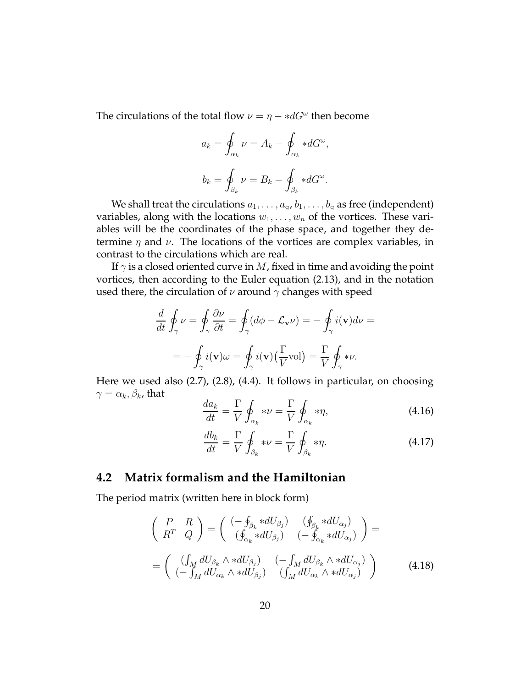The circulations of the total flow  $\nu = \eta - *dG^{\omega}$  then become

$$
a_k = \oint_{\alpha_k} \nu = A_k - \oint_{\alpha_k} *dG^{\omega},
$$
  

$$
b_k = \oint_{\beta_k} \nu = B_k - \oint_{\beta_k} *dG^{\omega}.
$$

We shall treat the circulations  $a_1, \ldots, a_g, b_1, \ldots, b_g$  as free (independent) variables, along with the locations  $w_1, \ldots, w_n$  of the vortices. These variables will be the coordinates of the phase space, and together they determine  $\eta$  and  $\nu$ . The locations of the vortices are complex variables, in contrast to the circulations which are real.

If  $\gamma$  is a closed oriented curve in M, fixed in time and avoiding the point vortices, then according to the Euler equation (2.13), and in the notation used there, the circulation of  $\nu$  around  $\gamma$  changes with speed

$$
\frac{d}{dt} \oint_{\gamma} \nu = \oint_{\gamma} \frac{\partial \nu}{\partial t} = \oint_{\gamma} (d\phi - \mathcal{L}_{\mathbf{v}} \nu) = -\oint_{\gamma} i(\mathbf{v}) d\nu =
$$
\n
$$
= -\oint_{\gamma} i(\mathbf{v}) \omega = \oint_{\gamma} i(\mathbf{v}) \left(\frac{\Gamma}{V} \text{vol}\right) = \frac{\Gamma}{V} \oint_{\gamma} * \nu.
$$

Here we used also (2.7), (2.8), (4.4). It follows in particular, on choosing  $\gamma = \alpha_k, \beta_k$ , that

$$
\frac{da_k}{dt} = \frac{\Gamma}{V} \oint_{\alpha_k} * \nu = \frac{\Gamma}{V} \oint_{\alpha_k} * \eta,\tag{4.16}
$$

$$
\frac{db_k}{dt} = \frac{\Gamma}{V} \oint_{\beta_k} * \nu = \frac{\Gamma}{V} \oint_{\beta_k} * \eta.
$$
 (4.17)

#### **4.2 Matrix formalism and the Hamiltonian**

The period matrix (written here in block form)

$$
\begin{pmatrix}\nP & R \\
R^T & Q\n\end{pmatrix} = \begin{pmatrix}\n(-\oint_{\beta_k} * dU_{\beta_j}) & (\oint_{\beta_k} * dU_{\alpha_j}) \\
(\oint_{\alpha_k} * dU_{\beta_j}) & (-\oint_{\alpha_k} * dU_{\alpha_j})\n\end{pmatrix} = \n= \begin{pmatrix}\n(\int_M dU_{\beta_k} \wedge * dU_{\beta_j}) & (-\int_M dU_{\beta_k} \wedge * dU_{\alpha_j}) \\
(-\int_M dU_{\alpha_k} \wedge * dU_{\beta_j}) & (\int_M dU_{\alpha_k} \wedge * dU_{\alpha_j})\n\end{pmatrix}
$$
\n(4.18)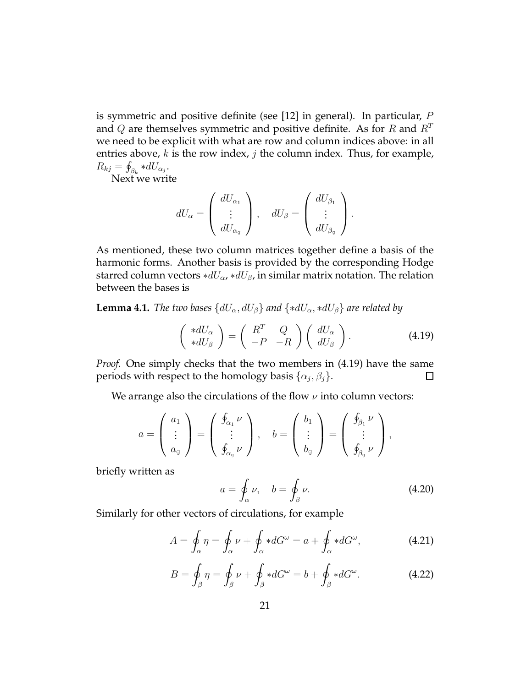is symmetric and positive definite (see [12] in general). In particular, P and Q are themselves symmetric and positive definite. As for R and  $R<sup>T</sup>$ we need to be explicit with what are row and column indices above: in all entries above,  $k$  is the row index,  $j$  the column index. Thus, for example,  $R_{kj} = \oint_{\beta_k} *dU_{\alpha_j}.$ 

Next we write

$$
dU_{\alpha} = \begin{pmatrix} dU_{\alpha_1} \\ \vdots \\ dU_{\alpha_g} \end{pmatrix}, \quad dU_{\beta} = \begin{pmatrix} dU_{\beta_1} \\ \vdots \\ dU_{\beta_g} \end{pmatrix}.
$$

As mentioned, these two column matrices together define a basis of the harmonic forms. Another basis is provided by the corresponding Hodge starred column vectors  $*dU_{\alpha}$ , ∗ $dU_{\beta}$ , in similar matrix notation. The relation between the bases is

**Lemma 4.1.** *The two bases*  $\{dU_{\alpha}, dU_{\beta}\}\$  *and*  $\{*dU_{\alpha}, *dU_{\beta}\}\$  *are related by* 

$$
\begin{pmatrix} *dU_{\alpha} \\ *dU_{\beta} \end{pmatrix} = \begin{pmatrix} R^T & Q \\ -P & -R \end{pmatrix} \begin{pmatrix} dU_{\alpha} \\ dU_{\beta} \end{pmatrix}.
$$
 (4.19)

*Proof.* One simply checks that the two members in (4.19) have the same periods with respect to the homology basis  $\{\alpha_j,\beta_j\}$ .  $\Box$ 

We arrange also the circulations of the flow  $\nu$  into column vectors:

$$
a = \begin{pmatrix} a_1 \\ \vdots \\ a_g \end{pmatrix} = \begin{pmatrix} \oint_{\alpha_1} \nu \\ \vdots \\ \oint_{\alpha_g} \nu \end{pmatrix}, \quad b = \begin{pmatrix} b_1 \\ \vdots \\ b_g \end{pmatrix} = \begin{pmatrix} \oint_{\beta_1} \nu \\ \vdots \\ \oint_{\beta_g} \nu \end{pmatrix},
$$

briefly written as

$$
a = \oint_{\alpha} \nu, \quad b = \oint_{\beta} \nu. \tag{4.20}
$$

Similarly for other vectors of circulations, for example

$$
A = \oint_{\alpha} \eta = \oint_{\alpha} \nu + \oint_{\alpha} *dG^{\omega} = a + \oint_{\alpha} *dG^{\omega}, \qquad (4.21)
$$

$$
B = \oint_{\beta} \eta = \oint_{\beta} \nu + \oint_{\beta} *dG^{\omega} = b + \oint_{\beta} *dG^{\omega}.
$$
 (4.22)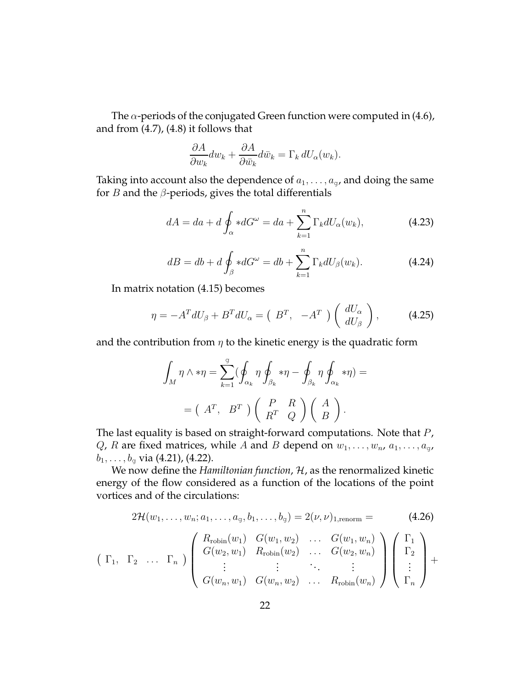The  $\alpha$ -periods of the conjugated Green function were computed in (4.6), and from (4.7), (4.8) it follows that

$$
\frac{\partial A}{\partial w_k} dw_k + \frac{\partial A}{\partial \bar{w}_k} d\bar{w}_k = \Gamma_k dU_{\alpha}(w_k).
$$

Taking into account also the dependence of  $a_1, \ldots, a_q$ , and doing the same for *B* and the  $\beta$ -periods, gives the total differentials

$$
dA = da + d \oint_{\alpha} *dG^{\omega} = da + \sum_{k=1}^{n} \Gamma_{k} dU_{\alpha}(w_{k}), \qquad (4.23)
$$

$$
dB = db + d \oint_{\beta} *dG^{\omega} = db + \sum_{k=1}^{n} \Gamma_{k} dU_{\beta}(w_{k}). \qquad (4.24)
$$

In matrix notation (4.15) becomes

$$
\eta = -A^T dU_\beta + B^T dU_\alpha = \begin{pmatrix} B^T, & -A^T \end{pmatrix} \begin{pmatrix} dU_\alpha \\ dU_\beta \end{pmatrix}, \tag{4.25}
$$

and the contribution from  $\eta$  to the kinetic energy is the quadratic form

$$
\int_M \eta \wedge * \eta = \sum_{k=1}^g (\oint_{\alpha_k} \eta \oint_{\beta_k} * \eta - \oint_{\beta_k} \eta \oint_{\alpha_k} * \eta) =
$$

$$
= (A^T, B^T) \left( \begin{array}{cc} P & R \\ R^T & Q \end{array} \right) \left( \begin{array}{cc} A \\ B \end{array} \right).
$$

The last equality is based on straight-forward computations. Note that  $P$ , Q, R are fixed matrices, while A and B depend on  $w_1, \ldots, w_n$ ,  $a_1, \ldots, a_g$ ,  $b_1, \ldots, b_q$  via (4.21), (4.22).

We now define the *Hamiltonian function*, *H*, as the renormalized kinetic energy of the flow considered as a function of the locations of the point vortices and of the circulations:

$$
2\mathcal{H}(w_1, \ldots, w_n; a_1, \ldots, a_g, b_1, \ldots, b_g) = 2(\nu, \nu)_{1, \text{renorm}} = (4.26)
$$
\n
$$
\begin{pmatrix}\nR_{\text{robin}}(w_1) & G(w_1, w_2) & \ldots & G(w_1, w_n) \\
G(w_2, w_1) & R_{\text{robin}}(w_2) & \ldots & G(w_2, w_n) \\
\vdots & \vdots & \ddots & \vdots \\
G(w_n, w_1) & G(w_n, w_2) & \ldots & R_{\text{robin}}(w_n)\n\end{pmatrix}\n\begin{pmatrix}\n\Gamma_1 \\
\Gamma_2 \\
\vdots \\
\Gamma_n\n\end{pmatrix} +
$$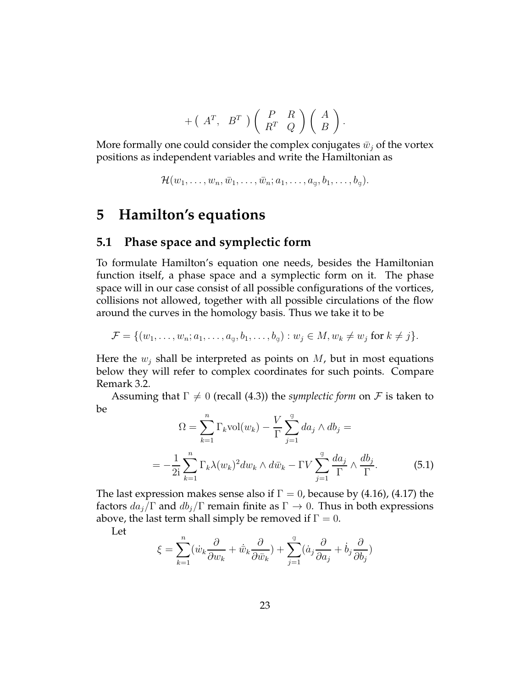$$
+\left(A^T,\ B^T\right)\left(\begin{array}{cc}P & R \\ R^T & Q\end{array}\right)\left(\begin{array}{c}A \\ B\end{array}\right).
$$

More formally one could consider the complex conjugates  $\bar{w}_j$  of the vortex positions as independent variables and write the Hamiltonian as

$$
\mathcal{H}(w_1,\ldots,w_n,\bar{w}_1,\ldots,\bar{w}_n;a_1,\ldots,a_g,b_1,\ldots,b_g).
$$

## **5 Hamilton's equations**

#### **5.1 Phase space and symplectic form**

To formulate Hamilton's equation one needs, besides the Hamiltonian function itself, a phase space and a symplectic form on it. The phase space will in our case consist of all possible configurations of the vortices, collisions not allowed, together with all possible circulations of the flow around the curves in the homology basis. Thus we take it to be

 $\mathcal{F} = \{(w_1, \ldots, w_n; a_1, \ldots, a_{\alpha}, b_1, \ldots, b_{\alpha}) : w_i \in M, w_k \neq w_j \text{ for } k \neq j\}.$ 

Here the  $w_i$  shall be interpreted as points on  $M$ , but in most equations below they will refer to complex coordinates for such points. Compare Remark 3.2.

Assuming that  $\Gamma \neq 0$  (recall (4.3)) the *symplectic form* on F is taken to be

$$
\Omega = \sum_{k=1}^{n} \Gamma_k \text{vol}(w_k) - \frac{V}{\Gamma} \sum_{j=1}^{g} da_j \wedge db_j =
$$

$$
= -\frac{1}{2i} \sum_{k=1}^{n} \Gamma_k \lambda (w_k)^2 dw_k \wedge d\bar{w}_k - \Gamma V \sum_{j=1}^{g} \frac{da_j}{\Gamma} \wedge \frac{db_j}{\Gamma}.
$$
(5.1)

The last expression makes sense also if  $\Gamma = 0$ , because by (4.16), (4.17) the factors  $da_j/\Gamma$  and  $db_j/\Gamma$  remain finite as  $\Gamma \to 0$ . Thus in both expressions above, the last term shall simply be removed if  $\Gamma = 0$ .

Let

$$
\xi = \sum_{k=1}^{n} (\dot{w}_k \frac{\partial}{\partial w_k} + \dot{\bar{w}}_k \frac{\partial}{\partial \bar{w}_k}) + \sum_{j=1}^{g} (\dot{a}_j \frac{\partial}{\partial a_j} + \dot{b}_j \frac{\partial}{\partial b_j})
$$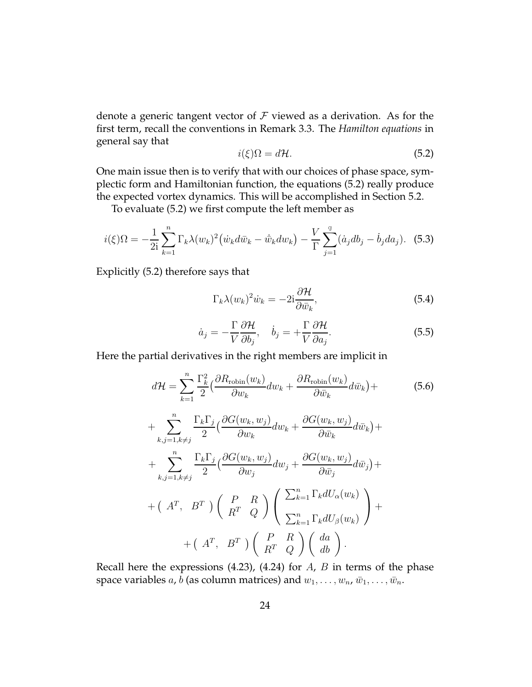denote a generic tangent vector of  $\mathcal F$  viewed as a derivation. As for the first term, recall the conventions in Remark 3.3. The *Hamilton equations* in general say that

$$
i(\xi)\Omega = d\mathcal{H}.\tag{5.2}
$$

One main issue then is to verify that with our choices of phase space, symplectic form and Hamiltonian function, the equations (5.2) really produce the expected vortex dynamics. This will be accomplished in Section 5.2.

To evaluate (5.2) we first compute the left member as

$$
i(\xi)\Omega = -\frac{1}{2i} \sum_{k=1}^{n} \Gamma_k \lambda(w_k)^2 \left( \dot{w}_k d\bar{w}_k - \dot{\bar{w}}_k dw_k \right) - \frac{V}{\Gamma} \sum_{j=1}^{g} (\dot{a}_j db_j - \dot{b}_j da_j). \tag{5.3}
$$

Explicitly (5.2) therefore says that

$$
\Gamma_k \lambda(w_k)^2 \dot{w}_k = -2i \frac{\partial \mathcal{H}}{\partial \bar{w}_k},\tag{5.4}
$$

$$
\dot{a}_j = -\frac{\Gamma}{V} \frac{\partial \mathcal{H}}{\partial b_j}, \quad \dot{b}_j = +\frac{\Gamma}{V} \frac{\partial \mathcal{H}}{\partial a_j}.
$$
 (5.5)

Here the partial derivatives in the right members are implicit in

$$
d\mathcal{H} = \sum_{k=1}^{n} \frac{\Gamma_k^2}{2} \left( \frac{\partial R_{\text{robin}}(w_k)}{\partial w_k} dw_k + \frac{\partial R_{\text{robin}}(w_k)}{\partial \bar{w}_k} d\bar{w}_k \right) +
$$
  
+ 
$$
\sum_{k,j=1, k \neq j}^{n} \frac{\Gamma_k \Gamma_j}{2} \left( \frac{\partial G(w_k, w_j)}{\partial w_k} dw_k + \frac{\partial G(w_k, w_j)}{\partial \bar{w}_k} d\bar{w}_k \right) +
$$
  
+ 
$$
\sum_{k,j=1, k \neq j}^{n} \frac{\Gamma_k \Gamma_j}{2} \left( \frac{\partial G(w_k, w_j)}{\partial w_j} dw_j + \frac{\partial G(w_k, w_j)}{\partial \bar{w}_j} d\bar{w}_j \right) +
$$
  
+ 
$$
\left( A^T, B^T \right) \left( \begin{array}{c} P & R \\ R^T & Q \end{array} \right) \left( \begin{array}{c} \sum_{k=1}^{n} \Gamma_k dU_{\alpha}(w_k) \\ \sum_{k=1}^{n} \Gamma_k dU_{\beta}(w_k) \end{array} \right) +
$$
  
+ 
$$
\left( A^T, B^T \right) \left( \begin{array}{c} P & R \\ R^T & Q \end{array} \right) \left( \begin{array}{c} d\alpha \\ R^T & Q \end{array} \right) \left( \begin{array}{c} da \\ db \end{array} \right).
$$
(5.6)

Recall here the expressions (4.23), (4.24) for  $A$ ,  $B$  in terms of the phase space variables a, b (as column matrices) and  $w_1, \ldots, w_n$ ,  $\bar{w}_1, \ldots, \bar{w}_n$ .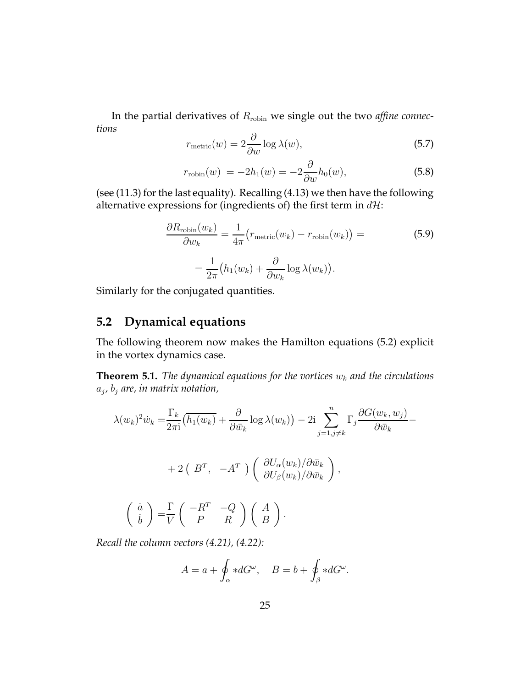In the partial derivatives of Rrobin we single out the two *affine connections*

$$
r_{\text{metric}}(w) = 2 \frac{\partial}{\partial w} \log \lambda(w), \tag{5.7}
$$

$$
r_{\text{robin}}(w) = -2h_1(w) = -2\frac{\partial}{\partial w}h_0(w),\tag{5.8}
$$

(see (11.3) for the last equality). Recalling (4.13) we then have the following alternative expressions for (ingredients of) the first term in  $d\mathcal{H}$ :

$$
\frac{\partial R_{\text{robin}}(w_k)}{\partial w_k} = \frac{1}{4\pi} \left( r_{\text{metric}}(w_k) - r_{\text{robin}}(w_k) \right) =
$$
\n
$$
= \frac{1}{2\pi} \left( h_1(w_k) + \frac{\partial}{\partial w_k} \log \lambda(w_k) \right).
$$
\n(5.9)

Similarly for the conjugated quantities.

### **5.2 Dynamical equations**

The following theorem now makes the Hamilton equations (5.2) explicit in the vortex dynamics case.

**Theorem 5.1.** *The dynamical equations for the vortices*  $w_k$  *and the circulations* aj *,* b<sup>j</sup> *are, in matrix notation,*

$$
\lambda(w_k)^2 \dot{w}_k = \frac{\Gamma_k}{2\pi i} \left( \overline{h_1(w_k)} + \frac{\partial}{\partial \bar{w}_k} \log \lambda(w_k) \right) - 2i \sum_{j=1, j \neq k}^n \Gamma_j \frac{\partial G(w_k, w_j)}{\partial \bar{w}_k} -
$$
  
+ 2 \left( B^T, -A^T \right) \left( \frac{\partial U\_{\alpha}(w\_k)}{\partial U\_{\beta}(w\_k)} / \partial \bar{w}\_k \right),  

$$
\begin{pmatrix} \dot{a} \\ \dot{b} \end{pmatrix} = \frac{\Gamma}{V} \begin{pmatrix} -R^T & -Q \\ P & R \end{pmatrix} \begin{pmatrix} A \\ B \end{pmatrix}.
$$

*Recall the column vectors (4.21), (4.22):*

$$
A = a + \oint_{\alpha} *dG^{\omega}, \quad B = b + \oint_{\beta} *dG^{\omega}.
$$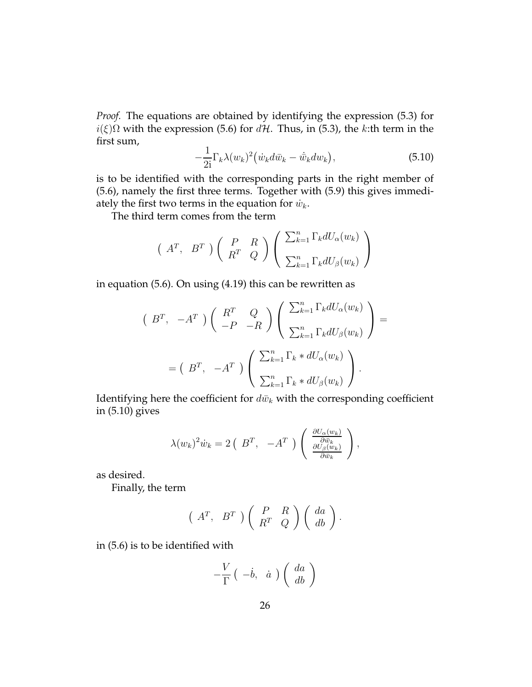*Proof.* The equations are obtained by identifying the expression (5.3) for  $i(\xi)\Omega$  with the expression (5.6) for  $d\mathcal{H}$ . Thus, in (5.3), the k:th term in the first sum,

$$
-\frac{1}{2i}\Gamma_k\lambda(w_k)^2\big(\dot{w}_k d\bar{w}_k - \dot{\bar{w}}_k dw_k\big),\tag{5.10}
$$

is to be identified with the corresponding parts in the right member of (5.6), namely the first three terms. Together with (5.9) this gives immediately the first two terms in the equation for  $\dot{w}_k$ .

The third term comes from the term

$$
\begin{pmatrix} A^T, & B^T \end{pmatrix} \begin{pmatrix} P & R \\ R^T & Q \end{pmatrix} \begin{pmatrix} \sum_{k=1}^n \Gamma_k dU_{\alpha}(w_k) \\ \sum_{k=1}^n \Gamma_k dU_{\beta}(w_k) \end{pmatrix}
$$

in equation (5.6). On using (4.19) this can be rewritten as

$$
\begin{pmatrix}\nB^T, & -A^T\n\end{pmatrix}\n\begin{pmatrix}\nR^T & Q \\
-P & -R\n\end{pmatrix}\n\begin{pmatrix}\n\sum_{k=1}^n \Gamma_k dU_{\alpha}(w_k) \\
\sum_{k=1}^n \Gamma_k dU_{\beta}(w_k)\n\end{pmatrix} =\n\begin{pmatrix}\nB^T, & -A^T\n\end{pmatrix}\n\begin{pmatrix}\n\sum_{k=1}^n \Gamma_k * dU_{\alpha}(w_k) \\
\sum_{k=1}^n \Gamma_k * dU_{\beta}(w_k)\n\end{pmatrix}.
$$

Identifying here the coefficient for  $d\bar{w}_k$  with the corresponding coefficient in (5.10) gives

$$
\lambda(w_k)^2 \dot{w}_k = 2 \left( B^T, -A^T \right) \left( \frac{\frac{\partial U_{\alpha}(w_k)}{\partial \bar{w}_k}}{\frac{\partial U_{\beta}(w_k)}{\partial \bar{w}_k}} \right),
$$

as desired.

Finally, the term

$$
\left(A^T, B^T\right)\left(\begin{array}{cc} P & R \\ R^T & Q \end{array}\right)\left(\begin{array}{c} da \\ db \end{array}\right).
$$

in (5.6) is to be identified with

$$
-\frac{V}{\Gamma} \left( \begin{array}{c} -\dot{b}, & \dot{a} \end{array} \right) \left( \begin{array}{c} da \\ db \end{array} \right)
$$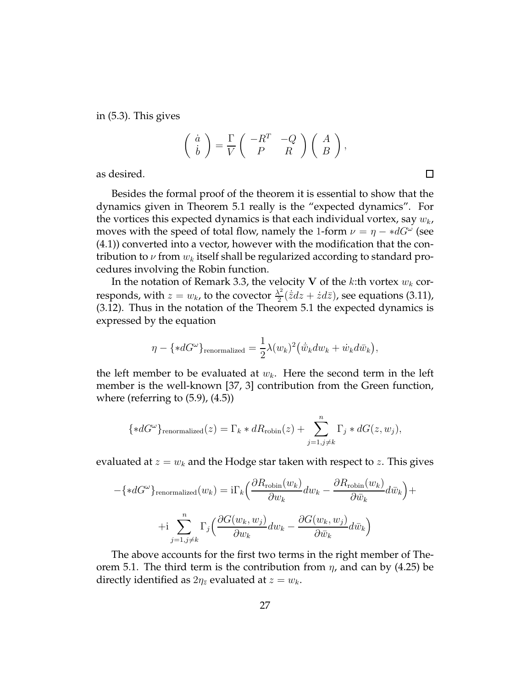in (5.3). This gives

$$
\left(\begin{array}{c} \dot{a} \\ \dot{b} \end{array}\right) = \frac{\Gamma}{V} \left(\begin{array}{cc} -R^T & -Q \\ P & R \end{array}\right) \left(\begin{array}{c} A \\ B \end{array}\right),
$$

as desired.

Besides the formal proof of the theorem it is essential to show that the dynamics given in Theorem 5.1 really is the "expected dynamics". For the vortices this expected dynamics is that each individual vortex, say  $w_k$ , moves with the speed of total flow, namely the 1-form  $\nu = \eta - *dG^{\omega}$  (see (4.1)) converted into a vector, however with the modification that the contribution to  $\nu$  from  $w_k$  itself shall be regularized according to standard procedures involving the Robin function.

In the notation of Remark 3.3, the velocity V of the k:th vortex  $w_k$  corresponds, with  $z = w_k$ , to the covector  $\frac{\lambda^2}{2}$  $\frac{\lambda^2}{2}(\dot{\bar{z}}dz + \dot{z}d\bar{z})$ , see equations (3.11), (3.12). Thus in the notation of the Theorem 5.1 the expected dynamics is expressed by the equation

$$
\eta - \{\ast dG^{\omega}\}_{\text{renormalized}} = \frac{1}{2}\lambda(w_k)^2 (\dot{\bar{w}}_k dw_k + \dot{w}_k d\bar{w}_k),
$$

the left member to be evaluated at  $w_k$ . Here the second term in the left member is the well-known [37, 3] contribution from the Green function, where (referring to (5.9), (4.5))

$$
{*dG^{\omega}}renormalized(z) = \Gammak * dRrobin(z) + \sum_{j=1, j \neq k}^{n} \Gamma_j * dG(z, w_j),
$$

evaluated at  $z = w_k$  and the Hodge star taken with respect to z. This gives

$$
-\{\ast dG^{\omega}\}_{\text{renormalized}}(w_k) = i\Gamma_k \left(\frac{\partial R_{\text{robin}}(w_k)}{\partial w_k} dw_k - \frac{\partial R_{\text{robin}}(w_k)}{\partial \bar{w}_k} d\bar{w}_k\right) +
$$

$$
+i\sum_{j=1,j\neq k}^{n} \Gamma_j \left(\frac{\partial G(w_k, w_j)}{\partial w_k} dw_k - \frac{\partial G(w_k, w_j)}{\partial \bar{w}_k} d\bar{w}_k\right)
$$

The above accounts for the first two terms in the right member of Theorem 5.1. The third term is the contribution from  $\eta$ , and can by (4.25) be directly identified as  $2\eta_{\bar{z}}$  evaluated at  $z = w_k$ .

 $\Box$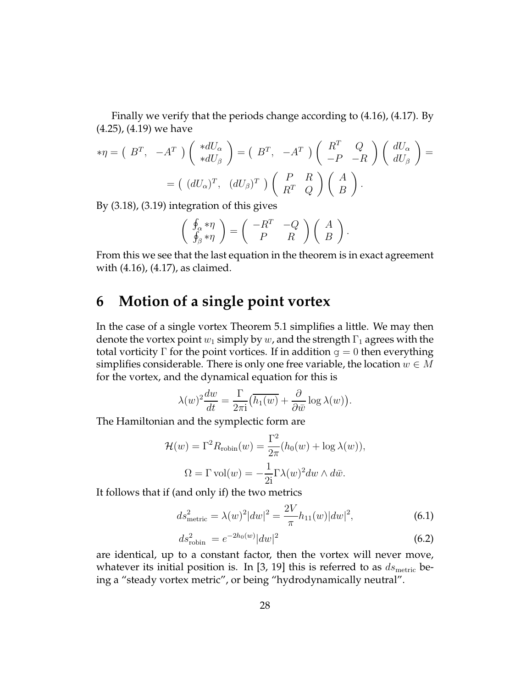Finally we verify that the periods change according to (4.16), (4.17). By (4.25), (4.19) we have

$$
*\eta = (B^T, -A^T) \begin{pmatrix} *dU_{\alpha} \\ *dU_{\beta} \end{pmatrix} = (B^T, -A^T) \begin{pmatrix} R^T & Q \\ -P & -R \end{pmatrix} \begin{pmatrix} dU_{\alpha} \\ dU_{\beta} \end{pmatrix} =
$$

$$
= ( (dU_{\alpha})^T, (dU_{\beta})^T) \begin{pmatrix} P & R \\ R^T & Q \end{pmatrix} \begin{pmatrix} A \\ B \end{pmatrix}.
$$

By (3.18), (3.19) integration of this gives

$$
\left(\begin{array}{c}\n\oint_{\alpha} * \eta \\
\oint_{\beta} * \eta\n\end{array}\right) = \left(\begin{array}{cc}\n-R^T & -Q \\
P & R\n\end{array}\right) \left(\begin{array}{c} A \\
B\n\end{array}\right).
$$

From this we see that the last equation in the theorem is in exact agreement with (4.16), (4.17), as claimed.

# **6 Motion of a single point vortex**

In the case of a single vortex Theorem 5.1 simplifies a little. We may then denote the vortex point  $w_1$  simply by  $w$ , and the strength  $\Gamma_1$  agrees with the total vorticity  $\Gamma$  for the point vortices. If in addition  $g = 0$  then everything simplifies considerable. There is only one free variable, the location  $w \in M$ for the vortex, and the dynamical equation for this is

$$
\lambda(w)^2 \frac{dw}{dt} = \frac{\Gamma}{2\pi i} \left( \overline{h_1(w)} + \frac{\partial}{\partial \bar{w}} \log \lambda(w) \right).
$$

The Hamiltonian and the symplectic form are

$$
\mathcal{H}(w) = \Gamma^2 R_{\text{robin}}(w) = \frac{\Gamma^2}{2\pi} (h_0(w) + \log \lambda(w)),
$$
  

$$
\Omega = \Gamma \text{ vol}(w) = -\frac{1}{2i} \Gamma \lambda(w)^2 dw \wedge d\bar{w}.
$$

It follows that if (and only if) the two metrics

$$
ds_{\text{metric}}^2 = \lambda(w)^2 |dw|^2 = \frac{2V}{\pi} h_{11}(w) |dw|^2, \tag{6.1}
$$

$$
ds_{\text{robin}}^2 = e^{-2h_0(w)}|dw|^2
$$
\n(6.2)

are identical, up to a constant factor, then the vortex will never move, whatever its initial position is. In [3, 19] this is referred to as  $ds_{\text{metric}}$  being a "steady vortex metric", or being "hydrodynamically neutral".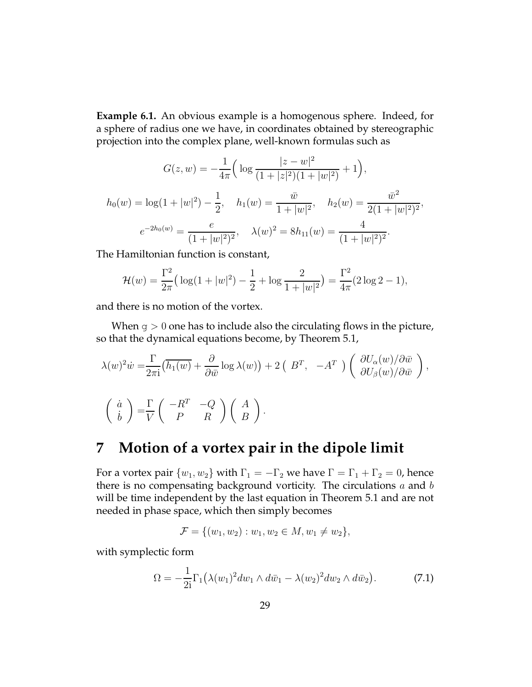**Example 6.1.** An obvious example is a homogenous sphere. Indeed, for a sphere of radius one we have, in coordinates obtained by stereographic projection into the complex plane, well-known formulas such as

$$
G(z, w) = -\frac{1}{4\pi} \Big( \log \frac{|z - w|^2}{(1 + |z|^2)(1 + |w|^2)} + 1 \Big),
$$
  

$$
h_0(w) = \log(1 + |w|^2) - \frac{1}{2}, \quad h_1(w) = \frac{\bar{w}}{1 + |w|^2}, \quad h_2(w) = \frac{\bar{w}^2}{2(1 + |w|^2)^2},
$$
  

$$
e^{-2h_0(w)} = \frac{e}{(1 + |w|^2)^2}, \quad \lambda(w)^2 = 8h_{11}(w) = \frac{4}{(1 + |w|^2)^2}.
$$

The Hamiltonian function is constant,

$$
\mathcal{H}(w) = \frac{\Gamma^2}{2\pi} \left( \log(1+|w|^2) - \frac{1}{2} + \log \frac{2}{1+|w|^2} \right) = \frac{\Gamma^2}{4\pi} (2\log 2 - 1),
$$

and there is no motion of the vortex.

When  $g > 0$  one has to include also the circulating flows in the picture, so that the dynamical equations become, by Theorem 5.1,

$$
\lambda(w)^{2} \dot{w} = \frac{\Gamma}{2\pi i} \left( \overline{h_{1}(w)} + \frac{\partial}{\partial \bar{w}} \log \lambda(w) \right) + 2 \left( B^{T}, -A^{T} \right) \left( \frac{\partial U_{\alpha}(w)}{\partial U_{\beta}(w)} / \partial \bar{w} \right),
$$
  

$$
\begin{pmatrix} \dot{a} \\ \dot{b} \end{pmatrix} = \frac{\Gamma}{V} \begin{pmatrix} -R^{T} & -Q \\ P & R \end{pmatrix} \begin{pmatrix} A \\ B \end{pmatrix}.
$$

## **7 Motion of a vortex pair in the dipole limit**

For a vortex pair  $\{w_1, w_2\}$  with  $\Gamma_1 = -\Gamma_2$  we have  $\Gamma = \Gamma_1 + \Gamma_2 = 0$ , hence there is no compensating background vorticity. The circulations  $a$  and  $b$ will be time independent by the last equation in Theorem 5.1 and are not needed in phase space, which then simply becomes

$$
\mathcal{F} = \{ (w_1, w_2) : w_1, w_2 \in M, w_1 \neq w_2 \},\
$$

with symplectic form

$$
\Omega = -\frac{1}{2i} \Gamma_1 \left( \lambda (w_1)^2 dw_1 \wedge d\bar{w}_1 - \lambda (w_2)^2 dw_2 \wedge d\bar{w}_2 \right).
$$
 (7.1)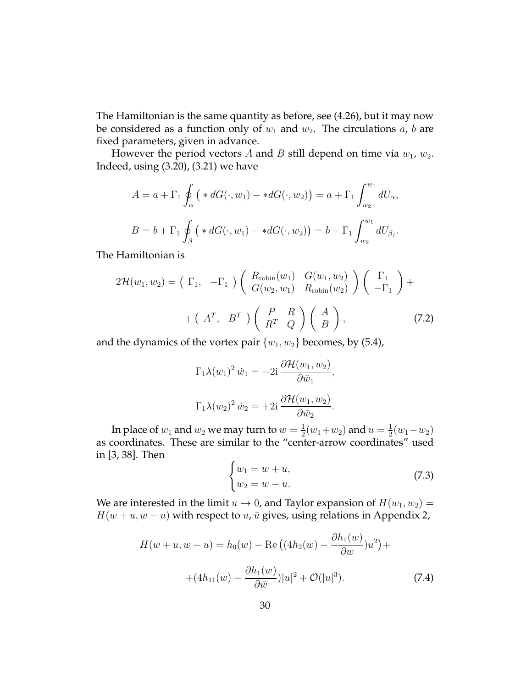The Hamiltonian is the same quantity as before, see (4.26), but it may now be considered as a function only of  $w_1$  and  $w_2$ . The circulations  $a$ ,  $b$  are fixed parameters, given in advance.

However the period vectors A and B still depend on time via  $w_1$ ,  $w_2$ . Indeed, using (3.20), (3.21) we have

$$
A = a + \Gamma_1 \oint_{\alpha} \left( *dG(\cdot, w_1) - *dG(\cdot, w_2) \right) = a + \Gamma_1 \int_{w_2}^{w_1} dU_{\alpha},
$$
  

$$
B = b + \Gamma_1 \oint_{\beta} \left( *dG(\cdot, w_1) - *dG(\cdot, w_2) \right) = b + \Gamma_1 \int_{w_2}^{w_1} dU_{\beta_j}.
$$

The Hamiltonian is

$$
2\mathcal{H}(w_1, w_2) = \begin{pmatrix} \Gamma_1, & -\Gamma_1 \end{pmatrix} \begin{pmatrix} R_{\text{robin}}(w_1) & G(w_1, w_2) \\ G(w_2, w_1) & R_{\text{robin}}(w_2) \end{pmatrix} \begin{pmatrix} \Gamma_1 \\ -\Gamma_1 \end{pmatrix} + \\ + \begin{pmatrix} A^T, & B^T \end{pmatrix} \begin{pmatrix} P & R \\ R^T & Q \end{pmatrix} \begin{pmatrix} A \\ B \end{pmatrix}, \tag{7.2}
$$

and the dynamics of the vortex pair  $\{w_1, w_2\}$  becomes, by (5.4),

$$
\Gamma_1 \lambda(w_1)^2 \, \dot{w}_1 = -2i \, \frac{\partial \mathcal{H}(w_1, w_2)}{\partial \bar{w}_1},
$$

$$
\Gamma_1 \lambda(w_2)^2 \, \dot{w}_2 = +2i \, \frac{\partial \mathcal{H}(w_1, w_2)}{\partial \bar{w}_2}.
$$

In place of  $w_1$  and  $w_2$  we may turn to  $w=\frac{1}{2}$  $\frac{1}{2}(w_1+w_2)$  and  $u=\frac{1}{2}$  $rac{1}{2}(w_1-w_2)$ as coordinates. These are similar to the "center-arrow coordinates" used in [3, 38]. Then

$$
\begin{cases} w_1 = w + u, \\ w_2 = w - u. \end{cases} \tag{7.3}
$$

We are interested in the limit  $u \to 0$ , and Taylor expansion of  $H(w_1, w_2) =$  $H(w + u, w - u)$  with respect to  $u$ ,  $\bar{u}$  gives, using relations in Appendix 2,

$$
H(w+u, w-u) = h_0(w) - \text{Re}\left((4h_2(w) - \frac{\partial h_1(w)}{\partial w})u^2\right) +
$$

$$
+ (4h_{11}(w) - \frac{\partial h_1(w)}{\partial \bar{w}})|u|^2 + \mathcal{O}(|u|^3). \tag{7.4}
$$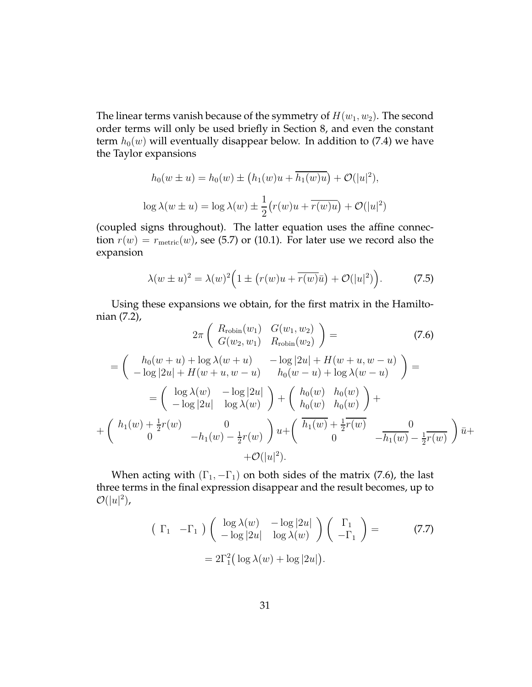The linear terms vanish because of the symmetry of  $H(w_1, w_2)$ . The second order terms will only be used briefly in Section 8, and even the constant term  $h_0(w)$  will eventually disappear below. In addition to (7.4) we have the Taylor expansions

$$
h_0(w \pm u) = h_0(w) \pm \left(h_1(w)u + \overline{h_1(w)u}\right) + \mathcal{O}(|u|^2),
$$
  

$$
\log \lambda(w \pm u) = \log \lambda(w) \pm \frac{1}{2} \left(r(w)u + \overline{r(w)u}\right) + \mathcal{O}(|u|^2)
$$

(coupled signs throughout). The latter equation uses the affine connection  $r(w) = r_{\text{metric}}(w)$ , see (5.7) or (10.1). For later use we record also the expansion

$$
\lambda(w \pm u)^2 = \lambda(w)^2 \Big( 1 \pm \big( r(w)u + \overline{r(w)}\overline{u} \big) + \mathcal{O}(|u|^2) \Big). \tag{7.5}
$$

Using these expansions we obtain, for the first matrix in the Hamiltonian (7.2),

$$
2\pi \begin{pmatrix} R_{\text{robin}}(w_1) & G(w_1, w_2) \\ G(w_2, w_1) & R_{\text{robin}}(w_2) \end{pmatrix} = (7.6)
$$
  
= 
$$
\begin{pmatrix} h_0(w+u) + \log \lambda(w+u) & -\log |2u| + H(w+u, w-u) \\ -\log |2u| + H(w+u, w-u) & h_0(w-u) + \log \lambda(w-u) \end{pmatrix} =
$$

$$
= \begin{pmatrix} \log \lambda(w) & -\log |2u| \\ -\log |2u| & \log \lambda(w) \end{pmatrix} + \begin{pmatrix} h_0(w) & h_0(w) \\ h_0(w) & h_0(w) \end{pmatrix} +
$$

$$
+ \begin{pmatrix} h_1(w) + \frac{1}{2}r(w) & 0 \\ 0 & -h_1(w) - \frac{1}{2}r(w) \end{pmatrix} u + \begin{pmatrix} \overline{h_1(w)} + \frac{1}{2}r(w) & 0 \\ 0 & -\overline{h_1(w)} - \frac{1}{2}r(w) \end{pmatrix} \overline{u} +
$$

$$
+ \mathcal{O}(|u|^2).
$$
 (7.6)

When acting with  $(\Gamma_1, -\Gamma_1)$  on both sides of the matrix (7.6), the last three terms in the final expression disappear and the result becomes, up to  $\mathcal{O}(|u|^2)$ ,

$$
\begin{pmatrix} \Gamma_1 & -\Gamma_1 \end{pmatrix} \begin{pmatrix} \log \lambda(w) & -\log |2u| \\ -\log |2u| & \log \lambda(w) \end{pmatrix} \begin{pmatrix} \Gamma_1 \\ -\Gamma_1 \end{pmatrix} =
$$
  
=  $2\Gamma_1^2 (\log \lambda(w) + \log |2u|).$  (7.7)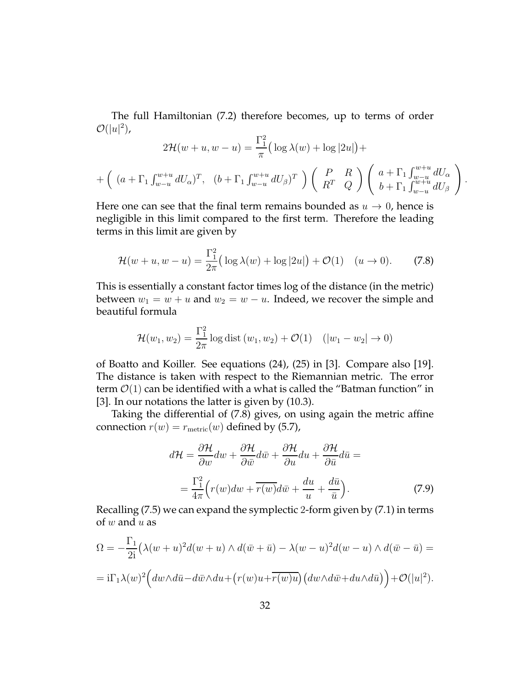The full Hamiltonian (7.2) therefore becomes, up to terms of order  $\mathcal{O}(|u|^2)$ ,

$$
2\mathcal{H}(w+u,w-u) = \frac{\Gamma_1^2}{\pi} \left( \log \lambda(w) + \log |2u| \right) +
$$
  
+ 
$$
\left( (a+\Gamma_1 \int_{w-u}^{w+u} dU_\alpha)^T, (b+\Gamma_1 \int_{w-u}^{w+u} dU_\beta)^T \right) \left( \begin{array}{cc} P & R \\ R^T & Q \end{array} \right) \left( \begin{array}{cc} a+\Gamma_1 \int_{w-u}^{w+u} dU_\alpha \\ b+\Gamma_1 \int_{w-u}^{w+u} dU_\beta \end{array} \right).
$$

Here one can see that the final term remains bounded as  $u \to 0$ , hence is negligible in this limit compared to the first term. Therefore the leading terms in this limit are given by

$$
\mathcal{H}(w+u, w-u) = \frac{\Gamma_1^2}{2\pi} \big( \log \lambda(w) + \log |2u| \big) + \mathcal{O}(1) \quad (u \to 0). \tag{7.8}
$$

This is essentially a constant factor times log of the distance (in the metric) between  $w_1 = w + u$  and  $w_2 = w - u$ . Indeed, we recover the simple and beautiful formula

$$
\mathcal{H}(w_1, w_2) = \frac{\Gamma_1^2}{2\pi} \log \text{dist} (w_1, w_2) + \mathcal{O}(1) \quad (|w_1 - w_2| \to 0)
$$

of Boatto and Koiller. See equations (24), (25) in [3]. Compare also [19]. The distance is taken with respect to the Riemannian metric. The error term  $\mathcal{O}(1)$  can be identified with a what is called the "Batman function" in [3]. In our notations the latter is given by (10.3).

Taking the differential of (7.8) gives, on using again the metric affine connection  $r(w) = r_{\text{metric}}(w)$  defined by (5.7),

$$
d\mathcal{H} = \frac{\partial \mathcal{H}}{\partial w} dw + \frac{\partial \mathcal{H}}{\partial \bar{w}} d\bar{w} + \frac{\partial \mathcal{H}}{\partial u} du + \frac{\partial \mathcal{H}}{\partial \bar{u}} d\bar{u} =
$$
  

$$
= \frac{\Gamma_1^2}{4\pi} \Big( r(w) dw + \overline{r(w)} d\bar{w} + \frac{du}{u} + \frac{d\bar{u}}{\bar{u}} \Big). \tag{7.9}
$$

Recalling (7.5) we can expand the symplectic 2-form given by (7.1) in terms of  $w$  and  $u$  as

$$
\Omega = -\frac{\Gamma_1}{2i} \left( \lambda (w+u)^2 d(w+u) \wedge d(\bar{w}+\bar{u}) - \lambda (w-u)^2 d(w-u) \wedge d(\bar{w}-\bar{u}) \right) =
$$
  
=  $i\Gamma_1 \lambda(w)^2 \left( dw \wedge d\bar{u} - d\bar{w} \wedge du + \left( r(w)u + \overline{r(w)u} \right) \left( dw \wedge d\bar{w} + du \wedge d\bar{u} \right) \right) + \mathcal{O}(|u|^2).$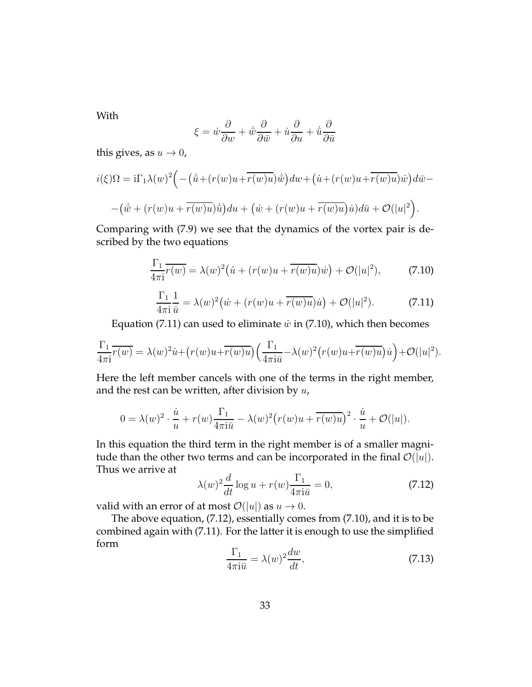With

$$
\xi = \dot{w}\frac{\partial}{\partial w} + \dot{\bar{w}}\frac{\partial}{\partial \bar{w}} + \dot{u}\frac{\partial}{\partial u} + \dot{\bar{u}}\frac{\partial}{\partial \bar{u}}
$$

this gives, as  $u \rightarrow 0$ ,

$$
i(\xi)\Omega = i\Gamma_1\lambda(w)^2 \Big( -(\dot{u}+(r(w)u+\overline{r(w)u})\dot{w}\Big)dw + (\dot{u}+(r(w)u+\overline{r(w)u})\dot{w}\Big) d\overline{w} -
$$

$$
-(\dot{\overline{w}}+(r(w)u+\overline{r(w)u})\dot{\overline{u}}\Big)du + (\dot{w}+(r(w)u+\overline{r(w)u})\dot{u})d\overline{u} + \mathcal{O}(|u|^2).
$$

Comparing with (7.9) we see that the dynamics of the vortex pair is described by the two equations

$$
\frac{\Gamma_1}{4\pi i} \overline{r(w)} = \lambda(w)^2 \big( \dot{u} + (r(w)u + \overline{r(w)u})\dot{w} \big) + \mathcal{O}(|u|^2),\tag{7.10}
$$

$$
\frac{\Gamma_1}{4\pi i} \frac{1}{\bar{u}} = \lambda(w)^2 \big( \dot{w} + (r(w)u + \overline{r(w)u})\dot{u} \big) + \mathcal{O}(|u|^2). \tag{7.11}
$$

Equation (7.11) can used to eliminate  $\dot{w}$  in (7.10), which then becomes

$$
\frac{\Gamma_1}{4\pi i} \overline{r(w)} = \lambda(w)^2 \dot{u} + (r(w)u + \overline{r(w)u}) \left( \frac{\Gamma_1}{4\pi i \overline{u}} - \lambda(w)^2 (r(w)u + \overline{r(w)u}) \dot{u} \right) + \mathcal{O}(|u|^2).
$$

Here the left member cancels with one of the terms in the right member, and the rest can be written, after division by  $u$ ,

$$
0 = \lambda(w)^2 \cdot \frac{\dot{u}}{u} + r(w) \frac{\Gamma_1}{4\pi i \bar{u}} - \lambda(w)^2 (r(w)u + \overline{r(w)u})^2 \cdot \frac{\dot{u}}{u} + \mathcal{O}(|u|).
$$

In this equation the third term in the right member is of a smaller magnitude than the other two terms and can be incorporated in the final  $\mathcal{O}(|u|)$ . Thus we arrive at

$$
\lambda(w)^2 \frac{d}{dt} \log u + r(w) \frac{\Gamma_1}{4\pi i \bar{u}} = 0,
$$
\n(7.12)

valid with an error of at most  $\mathcal{O}(|u|)$  as  $u \to 0$ .

The above equation, (7.12), essentially comes from (7.10), and it is to be combined again with (7.11). For the latter it is enough to use the simplified form

$$
\frac{\Gamma_1}{4\pi i\bar{u}} = \lambda(w)^2 \frac{dw}{dt},\tag{7.13}
$$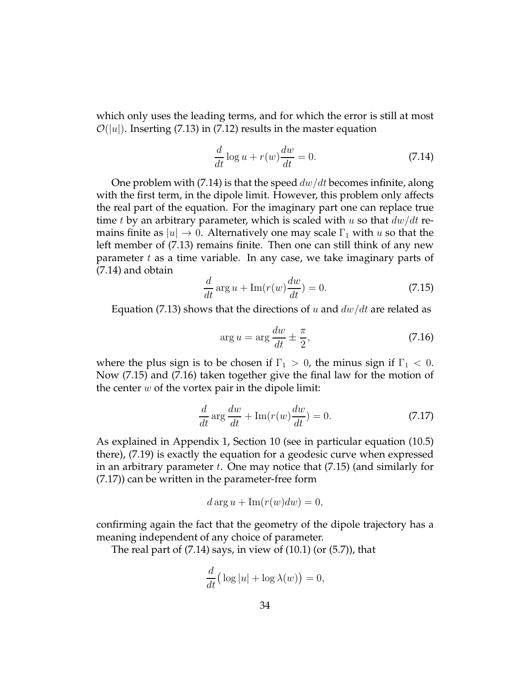which only uses the leading terms, and for which the error is still at most  $\mathcal{O}(|u|)$ . Inserting (7.13) in (7.12) results in the master equation

$$
\frac{d}{dt}\log u + r(w)\frac{dw}{dt} = 0.
$$
\n(7.14)

One problem with (7.14) is that the speed  $dw/dt$  becomes infinite, along with the first term, in the dipole limit. However, this problem only affects the real part of the equation. For the imaginary part one can replace true time t by an arbitrary parameter, which is scaled with u so that  $dw/dt$  remains finite as  $|u| \to 0$ . Alternatively one may scale  $\Gamma_1$  with u so that the left member of (7.13) remains finite. Then one can still think of any new parameter  $t$  as a time variable. In any case, we take imaginary parts of (7.14) and obtain

$$
\frac{d}{dt}\arg u + \text{Im}(r(w)\frac{dw}{dt}) = 0.
$$
\n(7.15)

Equation (7.13) shows that the directions of u and  $dw/dt$  are related as

$$
\arg u = \arg \frac{dw}{dt} \pm \frac{\pi}{2},\tag{7.16}
$$

where the plus sign is to be chosen if  $\Gamma_1 > 0$ , the minus sign if  $\Gamma_1 < 0$ . Now (7.15) and (7.16) taken together give the final law for the motion of the center  $w$  of the vortex pair in the dipole limit:

$$
\frac{d}{dt}\arg\frac{dw}{dt} + \text{Im}(r(w)\frac{dw}{dt}) = 0.
$$
\n(7.17)

As explained in Appendix 1, Section 10 (see in particular equation (10.5) there), (7.19) is exactly the equation for a geodesic curve when expressed in an arbitrary parameter  $t$ . One may notice that  $(7.15)$  (and similarly for (7.17)) can be written in the parameter-free form

$$
d \arg u + \operatorname{Im}(r(w)dw) = 0,
$$

confirming again the fact that the geometry of the dipole trajectory has a meaning independent of any choice of parameter.

The real part of  $(7.14)$  says, in view of  $(10.1)$  (or  $(5.7)$ ), that

$$
\frac{d}{dt} \big( \log |u| + \log \lambda(w) \big) = 0,
$$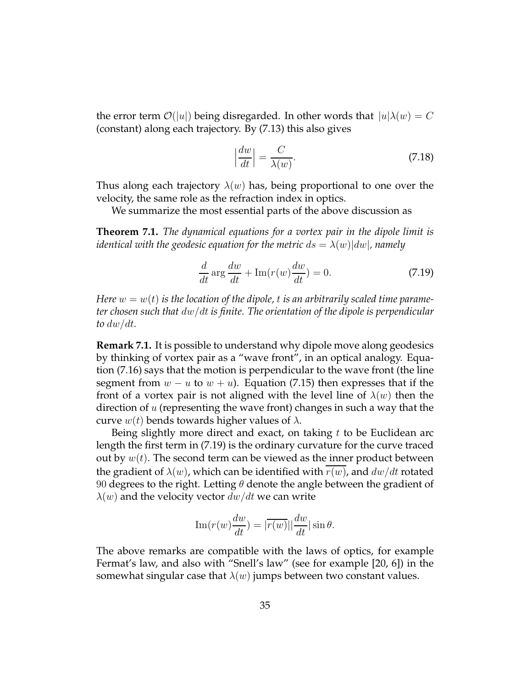the error term  $\mathcal{O}(u)$  being disregarded. In other words that  $|u|\lambda(w) = C$ (constant) along each trajectory. By (7.13) this also gives

$$
\left|\frac{dw}{dt}\right| = \frac{C}{\lambda(w)}.\tag{7.18}
$$

Thus along each trajectory  $\lambda(w)$  has, being proportional to one over the velocity, the same role as the refraction index in optics.

We summarize the most essential parts of the above discussion as

**Theorem 7.1.** *The dynamical equations for a vortex pair in the dipole limit is identical with the geodesic equation for the metric*  $ds = \lambda(w)|dw|$ , namely

$$
\frac{d}{dt}\arg\frac{dw}{dt} + \text{Im}(r(w)\frac{dw}{dt}) = 0.
$$
\n(7.19)

*Here*  $w = w(t)$  *is the location of the dipole, t is an arbitrarily scaled time parameter chosen such that* dw/dt *is finite. The orientation of the dipole is perpendicular to*  $dw/dt$ *.* 

**Remark 7.1.** It is possible to understand why dipole move along geodesics by thinking of vortex pair as a "wave front", in an optical analogy. Equation (7.16) says that the motion is perpendicular to the wave front (the line segment from  $w - u$  to  $w + u$ ). Equation (7.15) then expresses that if the front of a vortex pair is not aligned with the level line of  $\lambda(w)$  then the direction of  $u$  (representing the wave front) changes in such a way that the curve  $w(t)$  bends towards higher values of  $\lambda$ .

Being slightly more direct and exact, on taking  $t$  to be Euclidean arc length the first term in (7.19) is the ordinary curvature for the curve traced out by  $w(t)$ . The second term can be viewed as the inner product between the gradient of  $\lambda(w)$ , which can be identified with  $r(w)$ , and  $dw/dt$  rotated 90 degrees to the right. Letting  $\theta$  denote the angle between the gradient of  $\lambda(w)$  and the velocity vector  $dw/dt$  we can write

$$
\operatorname{Im}(r(w)\frac{dw}{dt}) = |\overline{r(w)}| \frac{dw}{dt} |\sin \theta.
$$

The above remarks are compatible with the laws of optics, for example Fermat's law, and also with "Snell's law" (see for example [20, 6]) in the somewhat singular case that  $\lambda(w)$  jumps between two constant values.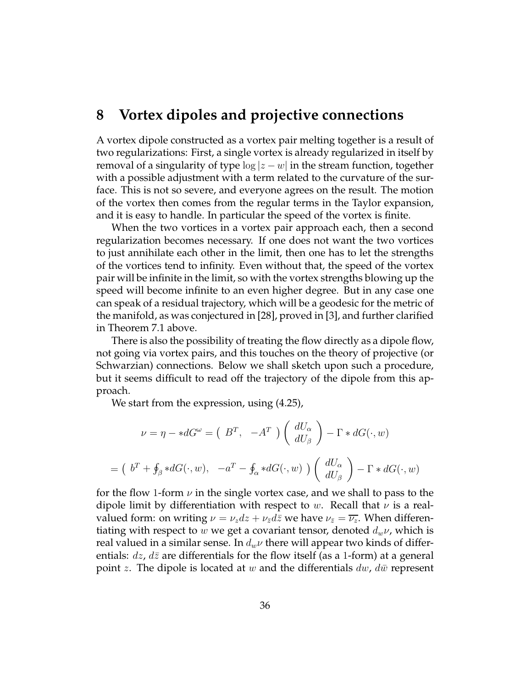# **8 Vortex dipoles and projective connections**

A vortex dipole constructed as a vortex pair melting together is a result of two regularizations: First, a single vortex is already regularized in itself by removal of a singularity of type  $\log |z - w|$  in the stream function, together with a possible adjustment with a term related to the curvature of the surface. This is not so severe, and everyone agrees on the result. The motion of the vortex then comes from the regular terms in the Taylor expansion, and it is easy to handle. In particular the speed of the vortex is finite.

When the two vortices in a vortex pair approach each, then a second regularization becomes necessary. If one does not want the two vortices to just annihilate each other in the limit, then one has to let the strengths of the vortices tend to infinity. Even without that, the speed of the vortex pair will be infinite in the limit, so with the vortex strengths blowing up the speed will become infinite to an even higher degree. But in any case one can speak of a residual trajectory, which will be a geodesic for the metric of the manifold, as was conjectured in [28], proved in [3], and further clarified in Theorem 7.1 above.

There is also the possibility of treating the flow directly as a dipole flow, not going via vortex pairs, and this touches on the theory of projective (or Schwarzian) connections. Below we shall sketch upon such a procedure, but it seems difficult to read off the trajectory of the dipole from this approach.

We start from the expression, using (4.25),

$$
\nu = \eta - *dG^{\omega} = (B^T, -A^T) \begin{pmatrix} dU_{\alpha} \\ dU_{\beta} \end{pmatrix} - \Gamma * dG(\cdot, w)
$$

$$
= (b^T + \oint_{\beta} *dG(\cdot, w), -a^T - \oint_{\alpha} *dG(\cdot, w)) \begin{pmatrix} dU_{\alpha} \\ dU_{\beta} \end{pmatrix} - \Gamma * dG(\cdot, w)
$$

for the flow 1-form  $\nu$  in the single vortex case, and we shall to pass to the dipole limit by differentiation with respect to w. Recall that  $\nu$  is a realvalued form: on writing  $\nu = \nu_z dz + \nu_{\bar{z}} d\bar{z}$  we have  $\nu_{\bar{z}} = \overline{\nu_z}$ . When differentiating with respect to w we get a covariant tensor, denoted  $d_w \nu$ , which is real valued in a similar sense. In  $d_w\nu$  there will appear two kinds of differentials:  $dz$ ,  $d\bar{z}$  are differentials for the flow itself (as a 1-form) at a general point z. The dipole is located at w and the differentials  $dw$ ,  $d\bar{w}$  represent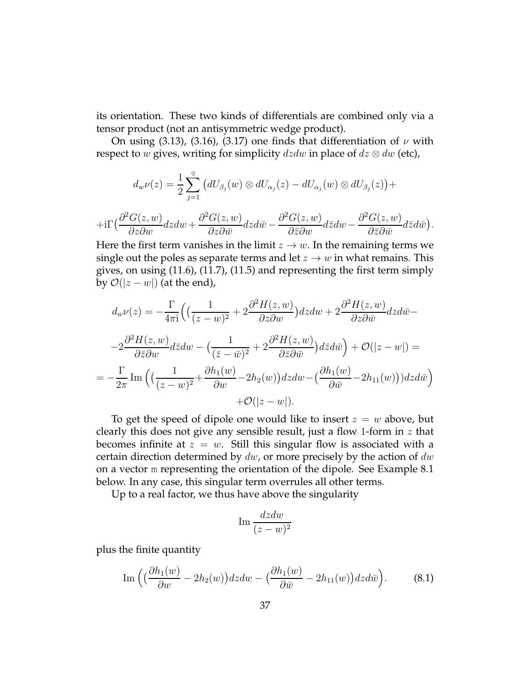its orientation. These two kinds of differentials are combined only via a tensor product (not an antisymmetric wedge product).

On using (3.13), (3.16), (3.17) one finds that differentiation of  $\nu$  with respect to w gives, writing for simplicity  $dzdw$  in place of  $dz \otimes dw$  (etc),

$$
d_w\nu(z)=\frac{1}{2}\sum_{j=1}^g\big(dU_{\beta_j}(w)\otimes dU_{\alpha_j}(z)-dU_{\alpha_j}(w)\otimes dU_{\beta_j}(z)\big)+
$$

$$
+{\rm i}\Gamma\big(\frac{\partial^2 G(z,w)}{\partial z\partial w}dzdw+\frac{\partial^2 G(z,w)}{\partial z\partial \bar w}dzd\bar w-\frac{\partial^2 G(z,w)}{\partial \bar z\partial w}d\bar zdw-\frac{\partial^2 G(z,w)}{\partial \bar z\partial \bar w}d\bar zd\bar w\big).
$$

Here the first term vanishes in the limit  $z \rightarrow w$ . In the remaining terms we single out the poles as separate terms and let  $z \rightarrow w$  in what remains. This gives, on using (11.6), (11.7), (11.5) and representing the first term simply by  $\mathcal{O}(|z-w|)$  (at the end),

$$
d_w \nu(z) = -\frac{\Gamma}{4\pi i} \Big( \Big( \frac{1}{(z-w)^2} + 2 \frac{\partial^2 H(z,w)}{\partial z \partial w} \Big) dz dw + 2 \frac{\partial^2 H(z,w)}{\partial z \partial \bar{w}} dz d\bar{w} -
$$
  

$$
-2 \frac{\partial^2 H(z,w)}{\partial \bar{z} \partial w} d\bar{z} dw - \Big( \frac{1}{(\bar{z}-\bar{w})^2} + 2 \frac{\partial^2 H(z,w)}{\partial \bar{z} \partial \bar{w}} \Big) d\bar{z} d\bar{w} \Big) + \mathcal{O}(|z-w|) =
$$
  

$$
= -\frac{\Gamma}{2\pi} \operatorname{Im} \Big( \Big( \frac{1}{(z-w)^2} + \frac{\partial h_1(w)}{\partial w} - 2h_2(w) \Big) dz dw - \Big( \frac{\partial h_1(w)}{\partial \bar{w}} - 2h_{11}(w) \Big) dz d\bar{w} \Big)
$$
  

$$
+ \mathcal{O}(|z-w|).
$$

To get the speed of dipole one would like to insert  $z = w$  above, but clearly this does not give any sensible result, just a flow 1-form in  $z$  that becomes infinite at  $z = w$ . Still this singular flow is associated with a certain direction determined by  $dw$ , or more precisely by the action of  $dw$ on a vector m representing the orientation of the dipole. See Example 8.1 below. In any case, this singular term overrules all other terms.

Up to a real factor, we thus have above the singularity

$$
\operatorname{Im} \frac{dzdw}{(z-w)^2}
$$

plus the finite quantity

Im 
$$
\left( \left( \frac{\partial h_1(w)}{\partial w} - 2h_2(w) \right) dz dw - \left( \frac{\partial h_1(w)}{\partial \bar{w}} - 2h_{11}(w) \right) dz d\bar{w} \right).
$$
 (8.1)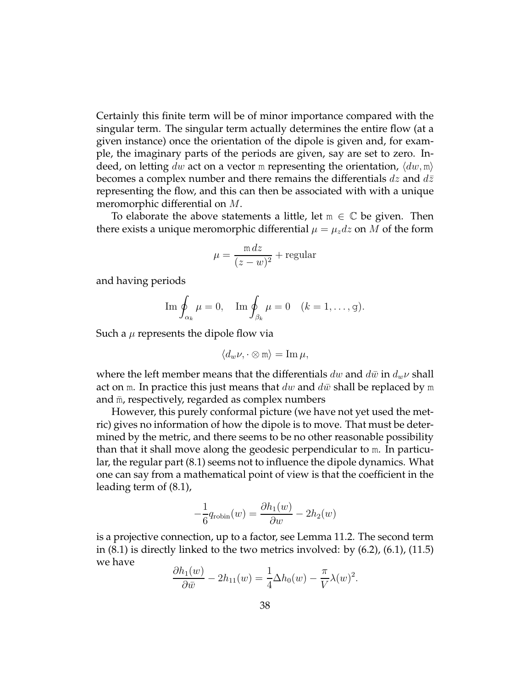Certainly this finite term will be of minor importance compared with the singular term. The singular term actually determines the entire flow (at a given instance) once the orientation of the dipole is given and, for example, the imaginary parts of the periods are given, say are set to zero. Indeed, on letting dw act on a vector m representing the orientation,  $\langle dw, m \rangle$ becomes a complex number and there remains the differentials  $dz$  and  $d\bar{z}$ representing the flow, and this can then be associated with with a unique meromorphic differential on M.

To elaborate the above statements a little, let  $m \in \mathbb{C}$  be given. Then there exists a unique meromorphic differential  $\mu = \mu_z dz$  on M of the form

$$
\mu = \frac{m dz}{(z - w)^2} + \text{regular}
$$

and having periods

$$
\operatorname{Im} \oint_{\alpha_k} \mu = 0, \quad \operatorname{Im} \oint_{\beta_k} \mu = 0 \quad (k = 1, \dots, g).
$$

Such a  $\mu$  represents the dipole flow via

$$
\langle d_w \nu, \cdot \otimes \mathfrak{m} \rangle = \operatorname{Im} \mu,
$$

where the left member means that the differentials dw and  $d\bar{w}$  in  $d_w \nu$  shall act on m. In practice this just means that dw and  $d\bar{w}$  shall be replaced by m and  $\bar{m}$ , respectively, regarded as complex numbers

However, this purely conformal picture (we have not yet used the metric) gives no information of how the dipole is to move. That must be determined by the metric, and there seems to be no other reasonable possibility than that it shall move along the geodesic perpendicular to m. In particular, the regular part (8.1) seems not to influence the dipole dynamics. What one can say from a mathematical point of view is that the coefficient in the leading term of (8.1),

$$
-\frac{1}{6}q_{\text{robin}}(w) = \frac{\partial h_1(w)}{\partial w} - 2h_2(w)
$$

is a projective connection, up to a factor, see Lemma 11.2. The second term in  $(8.1)$  is directly linked to the two metrics involved: by  $(6.2)$ ,  $(6.1)$ ,  $(11.5)$ we have

$$
\frac{\partial h_1(w)}{\partial \bar{w}} - 2h_{11}(w) = \frac{1}{4} \Delta h_0(w) - \frac{\pi}{V} \lambda(w)^2.
$$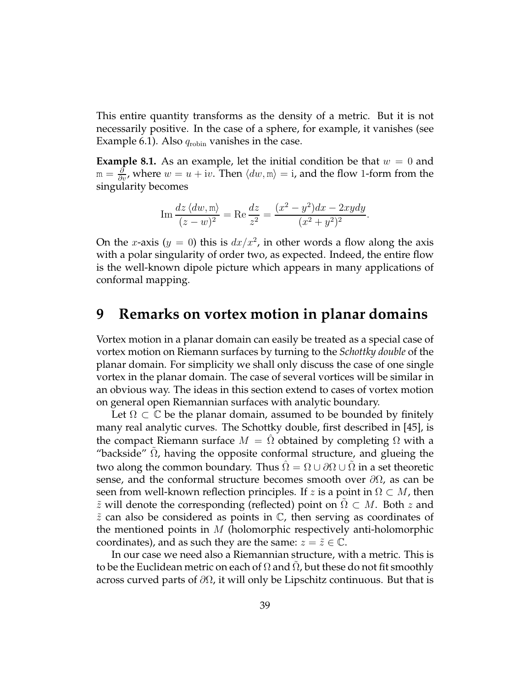This entire quantity transforms as the density of a metric. But it is not necessarily positive. In the case of a sphere, for example, it vanishes (see Example 6.1). Also  $q_{\text{robin}}$  vanishes in the case.

**Example 8.1.** As an example, let the initial condition be that  $w = 0$  and  $\lim_{\delta\to 0^+}\frac{\partial}{\partial y}$ , where  $w=u+\mathrm{i} v.$  Then  $\langle dw,\mathrm{m}\rangle=\mathrm{i}$ , and the flow 1-form from the singularity becomes

Im 
$$
\frac{dz \langle dw, m \rangle}{(z - w)^2}
$$
 = Re  $\frac{dz}{z^2}$  =  $\frac{(x^2 - y^2)dx - 2xydy}{(x^2 + y^2)^2}$ .

On the *x*-axis ( $y = 0$ ) this is  $dx/x^2$ , in other words a flow along the axis with a polar singularity of order two, as expected. Indeed, the entire flow is the well-known dipole picture which appears in many applications of conformal mapping.

### **9 Remarks on vortex motion in planar domains**

Vortex motion in a planar domain can easily be treated as a special case of vortex motion on Riemann surfaces by turning to the *Schottky double* of the planar domain. For simplicity we shall only discuss the case of one single vortex in the planar domain. The case of several vortices will be similar in an obvious way. The ideas in this section extend to cases of vortex motion on general open Riemannian surfaces with analytic boundary.

Let  $\Omega \subset \mathbb{C}$  be the planar domain, assumed to be bounded by finitely many real analytic curves. The Schottky double, first described in [45], is the compact Riemann surface  $M = \Omega$  obtained by completing  $\Omega$  with a "backside"  $\Omega$ , having the opposite conformal structure, and glueing the two along the common boundary. Thus  $\Omega = \Omega \cup \partial \Omega \cup \Omega$  in a set theoretic sense, and the conformal structure becomes smooth over  $\partial\Omega$ , as can be seen from well-known reflection principles. If z is a point in  $\Omega \subset M$ , then  $\tilde{z}$  will denote the corresponding (reflected) point on  $\Omega \subset M$ . Both z and  $\tilde{z}$  can also be considered as points in  $\mathbb{C}$ , then serving as coordinates of the mentioned points in  $M$  (holomorphic respectively anti-holomorphic coordinates), and as such they are the same:  $z = \tilde{z} \in \mathbb{C}$ .

In our case we need also a Riemannian structure, with a metric. This is to be the Euclidean metric on each of  $\Omega$  and  $\Omega$ , but these do not fit smoothly across curved parts of  $\partial\Omega$ , it will only be Lipschitz continuous. But that is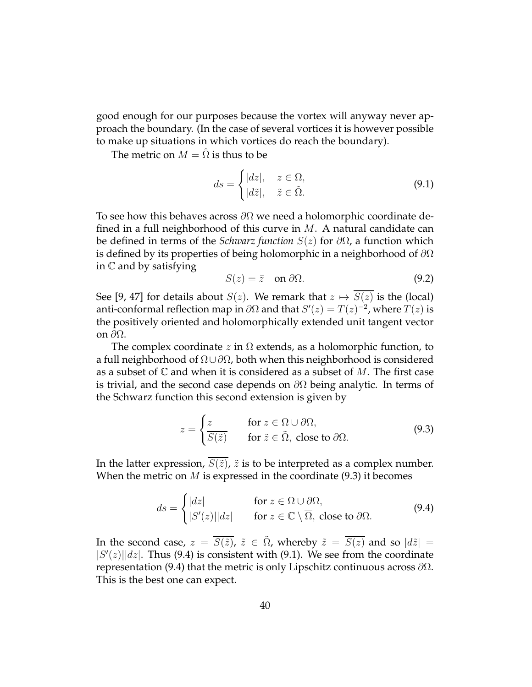good enough for our purposes because the vortex will anyway never approach the boundary. (In the case of several vortices it is however possible to make up situations in which vortices do reach the boundary).

The metric on  $M = \hat{\Omega}$  is thus to be

$$
ds = \begin{cases} |dz|, & z \in \Omega, \\ |d\tilde{z}|, & \tilde{z} \in \tilde{\Omega}. \end{cases}
$$
 (9.1)

To see how this behaves across  $\partial\Omega$  we need a holomorphic coordinate defined in a full neighborhood of this curve in  $M$ . A natural candidate can be defined in terms of the *Schwarz function* S(z) for ∂Ω, a function which is defined by its properties of being holomorphic in a neighborhood of  $\partial\Omega$ in C and by satisfying

$$
S(z) = \bar{z} \quad \text{on } \partial\Omega. \tag{9.2}
$$

See [9, 47] for details about  $S(z)$ . We remark that  $z \mapsto \overline{S(z)}$  is the (local) anti-conformal reflection map in  $\partial\Omega$  and that  $S'(z) = T(z)^{-2}$ , where  $T(z)$  is the positively oriented and holomorphically extended unit tangent vector on  $\partial\Omega$ .

The complex coordinate z in  $\Omega$  extends, as a holomorphic function, to a full neighborhood of  $\Omega \cup \partial \Omega$ , both when this neighborhood is considered as a subset of  $\mathbb C$  and when it is considered as a subset of M. The first case is trivial, and the second case depends on  $\partial\Omega$  being analytic. In terms of the Schwarz function this second extension is given by

$$
z = \begin{cases} z & \text{for } z \in \Omega \cup \partial\Omega, \\ \overline{S(\tilde{z})} & \text{for } \tilde{z} \in \tilde{\Omega}, \text{ close to } \partial\Omega. \end{cases}
$$
(9.3)

In the latter expression,  $\overline{S(\tilde{z})}$ ,  $\tilde{z}$  is to be interpreted as a complex number. When the metric on  $M$  is expressed in the coordinate (9.3) it becomes

$$
ds = \begin{cases} |dz| & \text{for } z \in \Omega \cup \partial\Omega, \\ |S'(z)| |dz| & \text{for } z \in \mathbb{C} \setminus \overline{\Omega}, \text{ close to } \partial\Omega. \end{cases}
$$
(9.4)

In the second case,  $z = \overline{S(\tilde{z})}$ ,  $\tilde{z} \in \tilde{\Omega}$ , whereby  $\tilde{z} = \overline{S(z)}$  and so  $|d\tilde{z}| =$  $|S'(z)||dz|$ . Thus (9.4) is consistent with (9.1). We see from the coordinate representation (9.4) that the metric is only Lipschitz continuous across  $\partial \Omega$ . This is the best one can expect.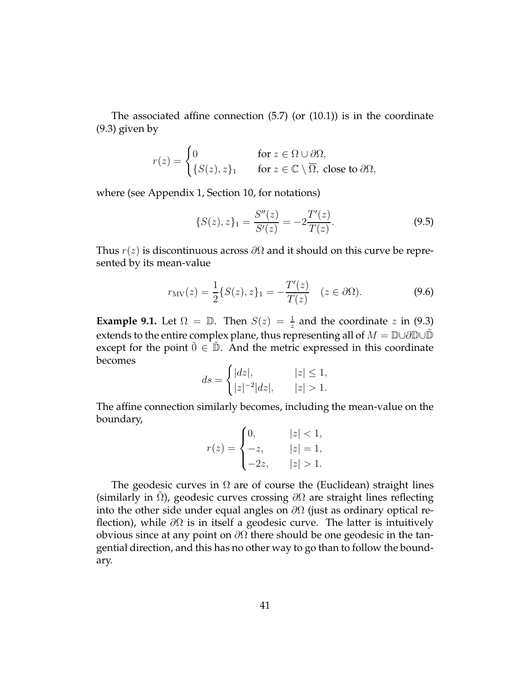The associated affine connection  $(5.7)$  (or  $(10.1)$ ) is in the coordinate (9.3) given by

$$
r(z) = \begin{cases} 0 & \text{for } z \in \Omega \cup \partial \Omega, \\ \{S(z), z\}_1 & \text{for } z \in \mathbb{C} \setminus \overline{\Omega}, \text{ close to } \partial \Omega, \end{cases}
$$

where (see Appendix 1, Section 10, for notations)

$$
\{S(z), z\}_1 = \frac{S''(z)}{S'(z)} = -2\frac{T'(z)}{T(z)}.\tag{9.5}
$$

Thus  $r(z)$  is discontinuous across  $\partial\Omega$  and it should on this curve be represented by its mean-value

$$
r_{\text{MV}}(z) = \frac{1}{2} \{ S(z), z \}_1 = -\frac{T'(z)}{T(z)} \quad (z \in \partial \Omega). \tag{9.6}
$$

**Example 9.1.** Let  $\Omega = \mathbb{D}$ . Then  $S(z) = \frac{1}{z}$  and the coordinate z in (9.3) extends to the entire complex plane, thus representing all of  $M = \mathbb{D} \cup \partial \mathbb{D} \cup \mathbb{D}$ except for the point  $\tilde{0} \in \tilde{D}$ . And the metric expressed in this coordinate becomes

$$
ds = \begin{cases} |dz|, & |z| \le 1, \\ |z|^{-2}|dz|, & |z| > 1. \end{cases}
$$

The affine connection similarly becomes, including the mean-value on the boundary,

$$
r(z) = \begin{cases} 0, & |z| < 1, \\ -z, & |z| = 1, \\ -2z, & |z| > 1. \end{cases}
$$

The geodesic curves in  $\Omega$  are of course the (Euclidean) straight lines (similarly in  $\Omega$ ), geodesic curves crossing  $\partial\Omega$  are straight lines reflecting into the other side under equal angles on  $\partial\Omega$  (just as ordinary optical reflection), while  $\partial\Omega$  is in itself a geodesic curve. The latter is intuitively obvious since at any point on  $\partial\Omega$  there should be one geodesic in the tangential direction, and this has no other way to go than to follow the boundary.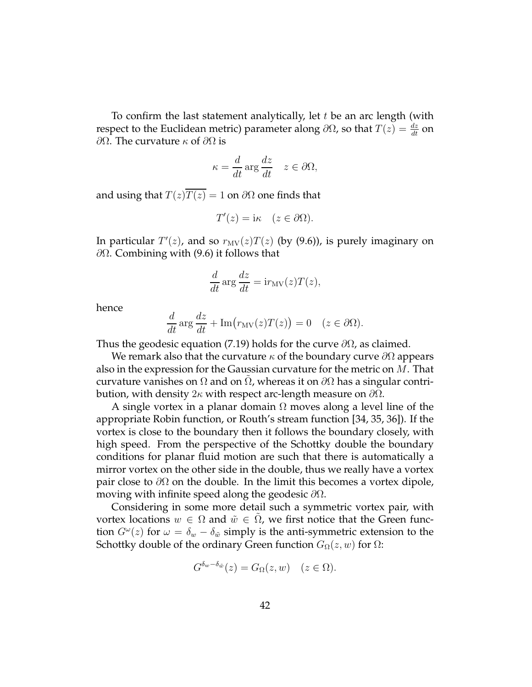To confirm the last statement analytically, let  $t$  be an arc length (with respect to the Euclidean metric) parameter along  $\partial\Omega$ , so that  $T(z) = \frac{dz}{dt}$  on  $\partial Ω$ . The curvature κ of  $\partial Ω$  is

$$
\kappa = \frac{d}{dt} \arg \frac{dz}{dt} \quad z \in \partial \Omega,
$$

and using that  $T(z)\overline{T(z)} = 1$  on  $\partial\Omega$  one finds that

$$
T'(z) = i\kappa \quad (z \in \partial \Omega).
$$

In particular  $T'(z)$ , and so  $r_{MV}(z)T(z)$  (by (9.6)), is purely imaginary on  $\partial\Omega$ . Combining with (9.6) it follows that

$$
\frac{d}{dt} \arg \frac{dz}{dt} = \mathrm{i} r_{\mathrm{MV}}(z) T(z),
$$

hence

$$
\frac{d}{dt}\arg\frac{dz}{dt} + \text{Im}(r_{\text{MV}}(z)T(z)) = 0 \quad (z \in \partial\Omega).
$$

Thus the geodesic equation (7.19) holds for the curve  $\partial\Omega$ , as claimed.

We remark also that the curvature  $\kappa$  of the boundary curve  $\partial\Omega$  appears also in the expression for the Gaussian curvature for the metric on  $M$ . That curvature vanishes on  $\Omega$  and on  $\Omega$ , whereas it on  $\partial\Omega$  has a singular contribution, with density 2κ with respect arc-length measure on  $\partial\Omega$ .

A single vortex in a planar domain  $\Omega$  moves along a level line of the appropriate Robin function, or Routh's stream function [34, 35, 36]). If the vortex is close to the boundary then it follows the boundary closely, with high speed. From the perspective of the Schottky double the boundary conditions for planar fluid motion are such that there is automatically a mirror vortex on the other side in the double, thus we really have a vortex pair close to  $\partial\Omega$  on the double. In the limit this becomes a vortex dipole, moving with infinite speed along the geodesic  $\partial\Omega$ .

Considering in some more detail such a symmetric vortex pair, with vortex locations  $w \in \Omega$  and  $\tilde{w} \in \Omega$ , we first notice that the Green function  $G^{\omega}(z)$  for  $\omega = \delta_w - \delta_{\tilde{w}}$  simply is the anti-symmetric extension to the Schottky double of the ordinary Green function  $G_{\Omega}(z, w)$  for  $\Omega$ :

$$
G^{\delta_w - \delta_{\tilde{w}}}(z) = G_{\Omega}(z, w) \quad (z \in \Omega).
$$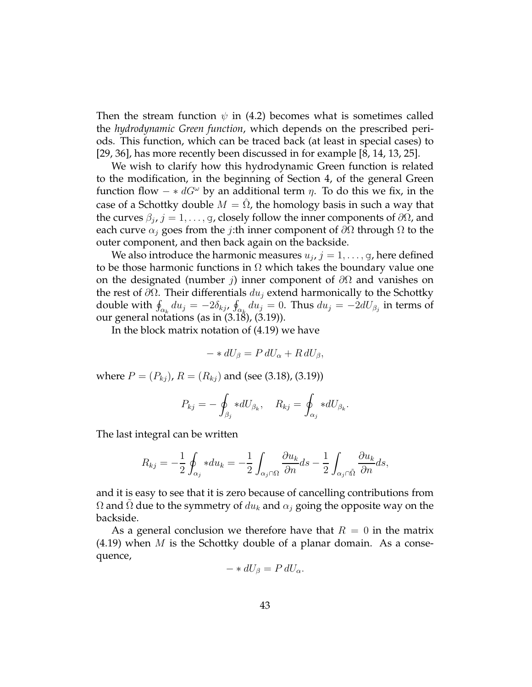Then the stream function  $\psi$  in (4.2) becomes what is sometimes called the *hydrodynamic Green function*, which depends on the prescribed periods. This function, which can be traced back (at least in special cases) to [29, 36], has more recently been discussed in for example [8, 14, 13, 25].

We wish to clarify how this hydrodynamic Green function is related to the modification, in the beginning of Section 4, of the general Green function flow  $- * dG^{\omega}$  by an additional term  $\eta$ . To do this we fix, in the case of a Schottky double  $M = \Omega$ , the homology basis in such a way that the curves  $\beta_j$ ,  $j = 1, \ldots, g$ , closely follow the inner components of  $\partial \Omega$ , and each curve  $\alpha_i$  goes from the *j*:th inner component of  $\partial\Omega$  through  $\Omega$  to the outer component, and then back again on the backside.

We also introduce the harmonic measures  $u_j$ ,  $j=1,\ldots,$  g, here defined to be those harmonic functions in  $\Omega$  which takes the boundary value one on the designated (number *j*) inner component of  $\partial\Omega$  and vanishes on the rest of  $\partial \Omega$ . Their differentials  $du_i$  extend harmonically to the Schottky double with  $\oint_{\alpha_k} du_j = -2\delta_{kj}$ ,  $\oint_{\alpha_k} du_j = 0$ . Thus  $du_j = -2dU_{\beta_j}$  in terms of our general notations (as in (3.18), (3.19)).

In the block matrix notation of (4.19) we have

$$
- * dU_{\beta} = P dU_{\alpha} + R dU_{\beta},
$$

where  $P = (P_{kj})$ ,  $R = (R_{kj})$  and (see (3.18), (3.19))

$$
P_{kj} = -\oint_{\beta_j} *dU_{\beta_k}, \quad R_{kj} = \oint_{\alpha_j} *dU_{\beta_k}.
$$

The last integral can be written

$$
R_{kj} = -\frac{1}{2} \oint_{\alpha_j} * du_k = -\frac{1}{2} \int_{\alpha_j \cap \Omega} \frac{\partial u_k}{\partial n} ds - \frac{1}{2} \int_{\alpha_j \cap \tilde{\Omega}} \frac{\partial u_k}{\partial n} ds,
$$

and it is easy to see that it is zero because of cancelling contributions from  $Ω$  and  $Ω$  due to the symmetry of  $du_k$  and  $α_j$  going the opposite way on the backside.

As a general conclusion we therefore have that  $R = 0$  in the matrix  $(4.19)$  when *M* is the Schottky double of a planar domain. As a consequence,

$$
- * dU_{\beta} = P dU_{\alpha}.
$$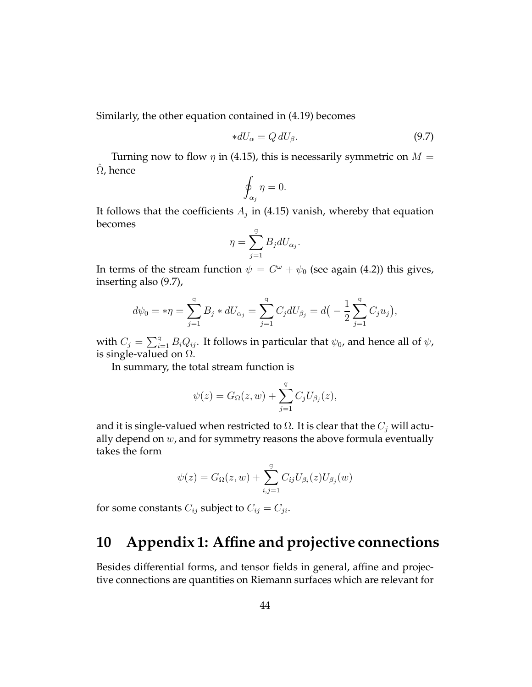Similarly, the other equation contained in (4.19) becomes

$$
*dU_{\alpha} = Q dU_{\beta}.
$$
\n(9.7)

Turning now to flow  $\eta$  in (4.15), this is necessarily symmetric on  $M =$  $\Omega$ , hence

$$
\oint_{\alpha_j} \eta = 0.
$$

It follows that the coefficients  $A_j$  in (4.15) vanish, whereby that equation becomes

$$
\eta = \sum_{j=1}^g B_j dU_{\alpha_j}.
$$

In terms of the stream function  $\psi = G^{\omega} + \psi_0$  (see again (4.2)) this gives, inserting also (9.7),

$$
d\psi_0 = * \eta = \sum_{j=1}^{g} B_j * dU_{\alpha_j} = \sum_{j=1}^{g} C_j dU_{\beta_j} = d\big(-\frac{1}{2} \sum_{j=1}^{g} C_j u_j\big),
$$

with  $C_j = \sum_{i=1}^g B_i Q_{ij}$ . It follows in particular that  $\psi_0$ , and hence all of  $\psi$ , is single-valued on  $\Omega$ .

In summary, the total stream function is

$$
\psi(z) = G_{\Omega}(z, w) + \sum_{j=1}^{g} C_j U_{\beta_j}(z),
$$

and it is single-valued when restricted to  $\Omega$ . It is clear that the  $C_j$  will actually depend on  $w$ , and for symmetry reasons the above formula eventually takes the form

$$
\psi(z) = G_{\Omega}(z, w) + \sum_{i,j=1}^{g} C_{ij} U_{\beta_i}(z) U_{\beta_j}(w)
$$

for some constants  $C_{ij}$  subject to  $C_{ij} = C_{ji}$ .

# **10 Appendix 1: Affine and projective connections**

Besides differential forms, and tensor fields in general, affine and projective connections are quantities on Riemann surfaces which are relevant for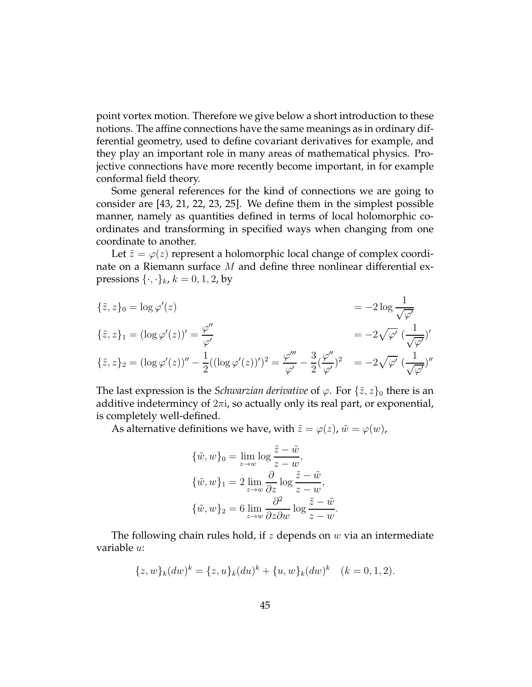point vortex motion. Therefore we give below a short introduction to these notions. The affine connections have the same meanings as in ordinary differential geometry, used to define covariant derivatives for example, and they play an important role in many areas of mathematical physics. Projective connections have more recently become important, in for example conformal field theory.

Some general references for the kind of connections we are going to consider are [43, 21, 22, 23, 25]. We define them in the simplest possible manner, namely as quantities defined in terms of local holomorphic coordinates and transforming in specified ways when changing from one coordinate to another.

Let  $\tilde{z} = \varphi(z)$  represent a holomorphic local change of complex coordinate on a Riemann surface  $M$  and define three nonlinear differential expressions  $\{\cdot,\cdot\}_k$ ,  $k = 0, 1, 2$ , by

$$
\{ \tilde{z}, z \}_0 = \log \varphi'(z) = -2 \log \frac{1}{\sqrt{\varphi'}}
$$
  

$$
\{ \tilde{z}, z \}_1 = (\log \varphi'(z))' = \frac{\varphi''}{\varphi'} = -2\sqrt{\varphi'} \left( \frac{1}{\sqrt{\varphi'}} \right)'
$$
  

$$
\{ \tilde{z}, z \}_2 = (\log \varphi'(z))'' - \frac{1}{2} ((\log \varphi'(z))')^2 = \frac{\varphi'''}{\varphi'} - \frac{3}{2} (\frac{\varphi''}{\varphi'})^2 = -2\sqrt{\varphi'} \left( \frac{1}{\sqrt{\varphi'}} \right)''
$$

The last expression is the *Schwarzian derivative* of  $\varphi$ . For  $\{\tilde{z}, z\}_0$  there is an additive indetermincy of  $2\pi i$ , so actually only its real part, or exponential, is completely well-defined.

As alternative definitions we have, with  $\tilde{z} = \varphi(z)$ ,  $\tilde{w} = \varphi(w)$ ,

$$
\{\tilde{w}, w\}_0 = \lim_{z \to w} \log \frac{\tilde{z} - \tilde{w}}{z - w},
$$
  

$$
\{\tilde{w}, w\}_1 = 2 \lim_{z \to w} \frac{\partial}{\partial z} \log \frac{\tilde{z} - \tilde{w}}{z - w},
$$
  

$$
\{\tilde{w}, w\}_2 = 6 \lim_{z \to w} \frac{\partial^2}{\partial z \partial w} \log \frac{\tilde{z} - \tilde{w}}{z - w}.
$$

The following chain rules hold, if z depends on  $w$  via an intermediate variable u:

$$
\{z, w\}_k(dw)^k = \{z, u\}_k(du)^k + \{u, w\}_k(dw)^k \quad (k = 0, 1, 2).
$$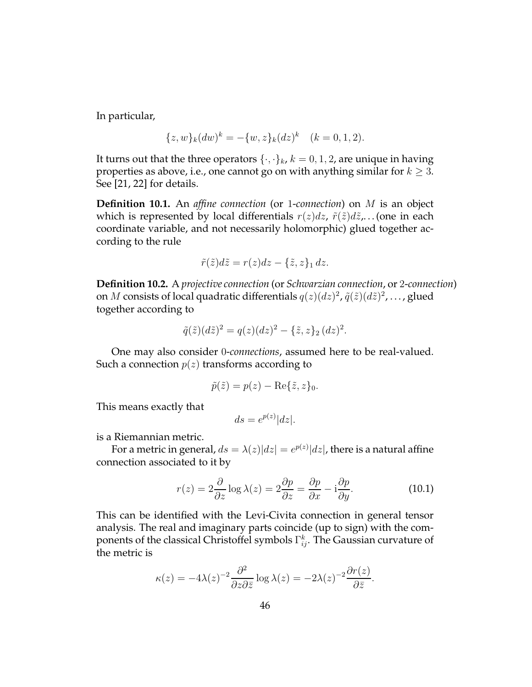In particular,

$$
\{z, w\}_k(dw)^k = -\{w, z\}_k(dz)^k \quad (k = 0, 1, 2).
$$

It turns out that the three operators  $\{\cdot,\cdot\}_k$ ,  $k = 0, 1, 2$ , are unique in having properties as above, i.e., one cannot go on with anything similar for  $k \geq 3$ . See [21, 22] for details.

**Definition 10.1.** An *affine connection* (or 1-*connection*) on M is an object which is represented by local differentials  $r(z)dz$ ,  $\tilde{r}(\tilde{z})d\tilde{z}$ ,... (one in each coordinate variable, and not necessarily holomorphic) glued together according to the rule

$$
\tilde{r}(\tilde{z})d\tilde{z} = r(z)dz - \{\tilde{z}, z\}_1 dz.
$$

**Definition 10.2.** A *projective connection* (or *Schwarzian connection*, or 2-*connection*) on M consists of local quadratic differentials  $q(z)(dz)^2$ ,  $\tilde{q}(\tilde{z})(d\tilde{z})^2$ , ..., glued together according to

$$
\tilde{q}(\tilde{z})(d\tilde{z})^2 = q(z)(dz)^2 - \{\tilde{z}, z\}_2 (dz)^2.
$$

One may also consider 0-*connections*, assumed here to be real-valued. Such a connection  $p(z)$  transforms according to

$$
\tilde{p}(\tilde{z}) = p(z) - \text{Re}\{\tilde{z}, z\}_0.
$$

This means exactly that

$$
ds = e^{p(z)}|dz|.
$$

is a Riemannian metric.

For a metric in general,  $ds = \lambda(z)|dz| = e^{p(z)}|dz|$ , there is a natural affine connection associated to it by

$$
r(z) = 2\frac{\partial}{\partial z}\log \lambda(z) = 2\frac{\partial p}{\partial z} = \frac{\partial p}{\partial x} - i\frac{\partial p}{\partial y}.
$$
 (10.1)

This can be identified with the Levi-Civita connection in general tensor analysis. The real and imaginary parts coincide (up to sign) with the components of the classical Christoffel symbols  $\Gamma^k_{ij}$ . The Gaussian curvature of the metric is

$$
\kappa(z) = -4\lambda(z)^{-2} \frac{\partial^2}{\partial z \partial \bar{z}} \log \lambda(z) = -2\lambda(z)^{-2} \frac{\partial r(z)}{\partial \bar{z}}.
$$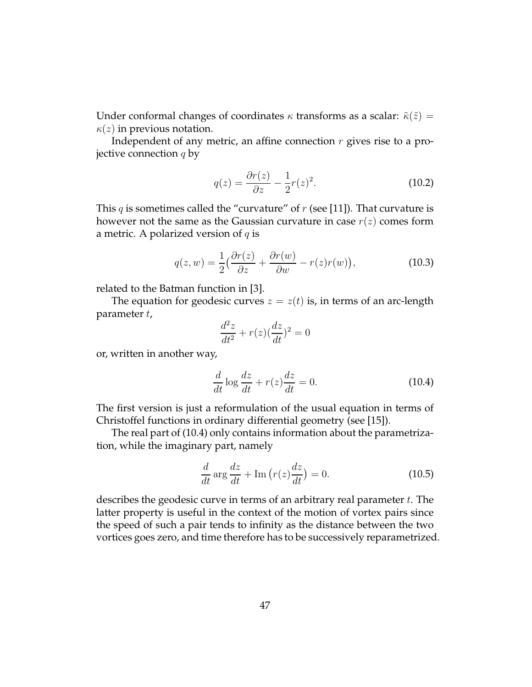Under conformal changes of coordinates  $\kappa$  transforms as a scalar:  $\tilde{\kappa}(\tilde{z}) =$  $\kappa(z)$  in previous notation.

Independent of any metric, an affine connection  $r$  gives rise to a projective connection  $q$  by

$$
q(z) = \frac{\partial r(z)}{\partial z} - \frac{1}{2}r(z)^2.
$$
 (10.2)

This q is sometimes called the "curvature" of  $r$  (see [11]). That curvature is however not the same as the Gaussian curvature in case  $r(z)$  comes form a metric. A polarized version of  $q$  is

$$
q(z, w) = \frac{1}{2} \left( \frac{\partial r(z)}{\partial z} + \frac{\partial r(w)}{\partial w} - r(z)r(w) \right),\tag{10.3}
$$

related to the Batman function in [3].

The equation for geodesic curves  $z = z(t)$  is, in terms of an arc-length parameter t,

$$
\frac{d^2z}{dt^2} + r(z)(\frac{dz}{dt})^2 = 0
$$

or, written in another way,

$$
\frac{d}{dt}\log\frac{dz}{dt} + r(z)\frac{dz}{dt} = 0.
$$
\n(10.4)

The first version is just a reformulation of the usual equation in terms of Christoffel functions in ordinary differential geometry (see [15]).

The real part of (10.4) only contains information about the parametrization, while the imaginary part, namely

$$
\frac{d}{dt}\arg\frac{dz}{dt} + \text{Im}\left(r(z)\frac{dz}{dt}\right) = 0.
$$
\n(10.5)

describes the geodesic curve in terms of an arbitrary real parameter  $t$ . The latter property is useful in the context of the motion of vortex pairs since the speed of such a pair tends to infinity as the distance between the two vortices goes zero, and time therefore has to be successively reparametrized.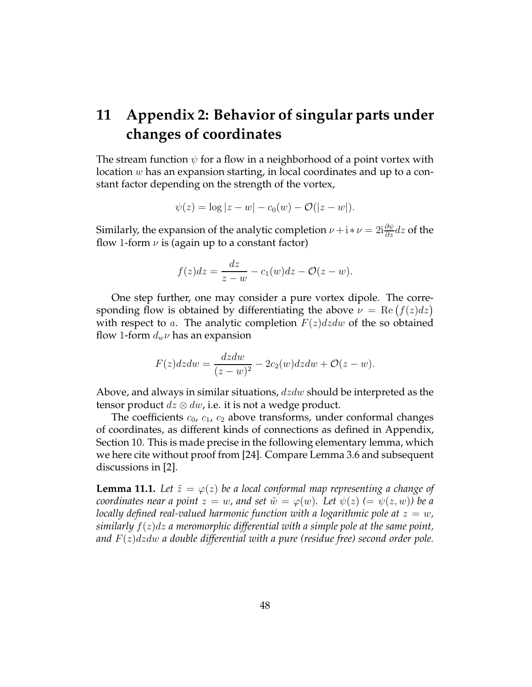# **11 Appendix 2: Behavior of singular parts under changes of coordinates**

The stream function  $\psi$  for a flow in a neighborhood of a point vortex with location w has an expansion starting, in local coordinates and up to a constant factor depending on the strength of the vortex,

$$
\psi(z) = \log |z - w| - c_0(w) - \mathcal{O}(|z - w|).
$$

Similarly, the expansion of the analytic completion  $\nu + i * \nu = 2i \frac{\partial \psi}{\partial z} dz$  of the flow 1-form  $\nu$  is (again up to a constant factor)

$$
f(z)dz = \frac{dz}{z-w} - c_1(w)dz - \mathcal{O}(z-w).
$$

One step further, one may consider a pure vortex dipole. The corresponding flow is obtained by differentiating the above  $\nu = \text{Re} (f(z) dz)$ with respect to a. The analytic completion  $F(z)dzdw$  of the so obtained flow 1-form  $d_w\nu$  has an expansion

$$
F(z)dzdw = \frac{dzdw}{(z-w)^2} - 2c_2(w)dzdw + \mathcal{O}(z-w).
$$

Above, and always in similar situations,  $dzdw$  should be interpreted as the tensor product  $dz \otimes dw$ , i.e. it is not a wedge product.

The coefficients  $c_0$ ,  $c_1$ ,  $c_2$  above transforms, under conformal changes of coordinates, as different kinds of connections as defined in Appendix, Section 10. This is made precise in the following elementary lemma, which we here cite without proof from [24]. Compare Lemma 3.6 and subsequent discussions in [2].

**Lemma 11.1.** Let  $\tilde{z} = \varphi(z)$  be a local conformal map representing a change of *coordinates near a point*  $z = w$ , and set  $\tilde{w} = \varphi(w)$ . Let  $\psi(z) = \psi(z, w)$  be a *locally defined real-valued harmonic function with a logarithmic pole at*  $z = w$ , *similarly* f(z)dz *a meromorphic differential with a simple pole at the same point, and* F(z)dzdw *a double differential with a pure (residue free) second order pole.*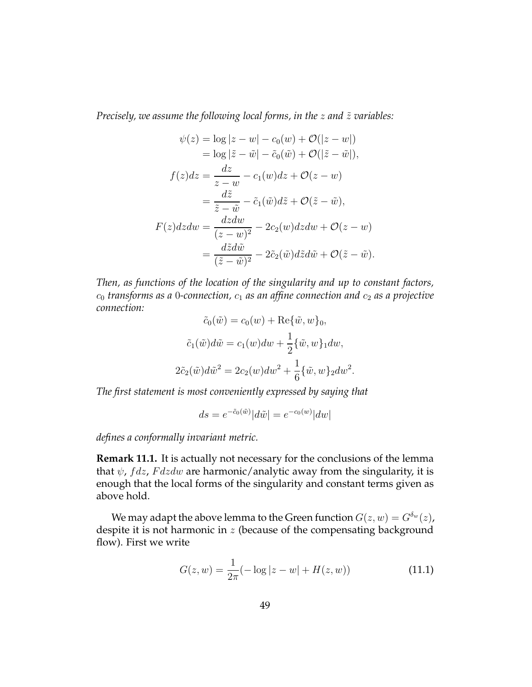*Precisely, we assume the following local forms, in the z and*  $\tilde{z}$  *variables:* 

$$
\psi(z) = \log|z - w| - c_0(w) + \mathcal{O}(|z - w|)
$$
  
\n
$$
= \log|\tilde{z} - \tilde{w}| - \tilde{c}_0(\tilde{w}) + \mathcal{O}(|\tilde{z} - \tilde{w}|),
$$
  
\n
$$
f(z)dz = \frac{dz}{z - w} - c_1(w)dz + \mathcal{O}(z - w)
$$
  
\n
$$
= \frac{d\tilde{z}}{\tilde{z} - \tilde{w}} - \tilde{c}_1(\tilde{w})d\tilde{z} + \mathcal{O}(\tilde{z} - \tilde{w}),
$$
  
\n
$$
F(z)dzdw = \frac{dzdw}{(z - w)^2} - 2c_2(w)dzdw + \mathcal{O}(z - w)
$$
  
\n
$$
= \frac{d\tilde{z}d\tilde{w}}{(\tilde{z} - \tilde{w})^2} - 2\tilde{c}_2(\tilde{w})d\tilde{z}d\tilde{w} + \mathcal{O}(\tilde{z} - \tilde{w}).
$$

*Then, as functions of the location of the singularity and up to constant factors,*  $c_0$  *transforms as a* 0-connection,  $c_1$  *as an affine connection and*  $c_2$  *as a projective connection:*

$$
\tilde{c}_0(\tilde{w}) = c_0(w) + \text{Re}\{\tilde{w}, w\}_0,
$$

$$
\tilde{c}_1(\tilde{w})d\tilde{w} = c_1(w)dw + \frac{1}{2}\{\tilde{w}, w\}_1 dw,
$$

$$
2\tilde{c}_2(\tilde{w})d\tilde{w}^2 = 2c_2(w)dw^2 + \frac{1}{6}\{\tilde{w}, w\}_2 dw^2
$$

*The first statement is most conveniently expressed by saying that*

$$
ds = e^{-\tilde{c}_0(\tilde{w})}|d\tilde{w}| = e^{-c_0(w)}|dw|
$$

*defines a conformally invariant metric.*

**Remark 11.1.** It is actually not necessary for the conclusions of the lemma that  $\psi$ ,  $fdz$ ,  $Fdzdw$  are harmonic/analytic away from the singularity, it is enough that the local forms of the singularity and constant terms given as above hold.

We may adapt the above lemma to the Green function  $G(z, w) = G^{\delta_w}(z)$ , despite it is not harmonic in  $z$  (because of the compensating background flow). First we write

$$
G(z, w) = \frac{1}{2\pi} (-\log|z - w| + H(z, w))
$$
\n(11.1)

.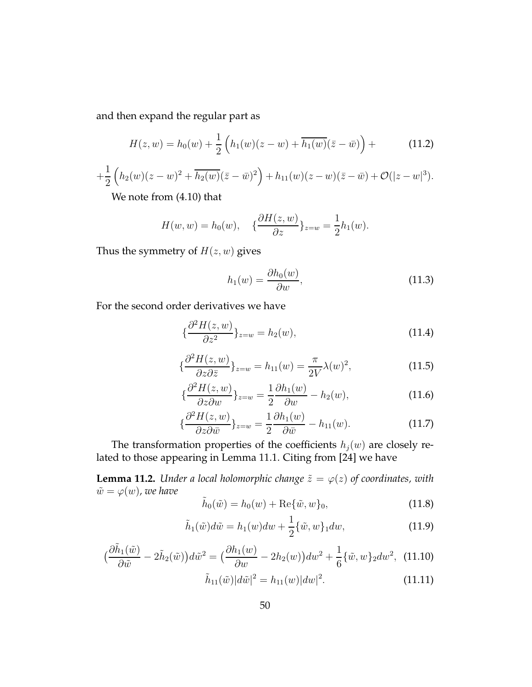and then expand the regular part as

$$
H(z, w) = h_0(w) + \frac{1}{2} \left( h_1(w)(z - w) + \overline{h_1(w)}(\bar{z} - \bar{w}) \right) +
$$
 (11.2)

$$
+\frac{1}{2}\left(h_2(w)(z-w)^2+\overline{h_2(w)}(\bar{z}-\bar{w})^2\right)+h_{11}(w)(z-w)(\bar{z}-\bar{w})+\mathcal{O}(|z-w|^3).
$$

We note from (4.10) that

$$
H(w, w) = h_0(w), \quad \{\frac{\partial H(z, w)}{\partial z}\}_{z=w} = \frac{1}{2}h_1(w).
$$

Thus the symmetry of  $H(z, w)$  gives

$$
h_1(w) = \frac{\partial h_0(w)}{\partial w},\tag{11.3}
$$

For the second order derivatives we have

$$
\{\frac{\partial^2 H(z,w)}{\partial z^2}\}_{z=w} = h_2(w),\tag{11.4}
$$

$$
\{\frac{\partial^2 H(z, w)}{\partial z \partial \overline{z}}\}_{z=w} = h_{11}(w) = \frac{\pi}{2V} \lambda(w)^2, \tag{11.5}
$$

$$
\{\frac{\partial^2 H(z, w)}{\partial z \partial w}\}_{z=w} = \frac{1}{2} \frac{\partial h_1(w)}{\partial w} - h_2(w),\tag{11.6}
$$

$$
\{\frac{\partial^2 H(z,w)}{\partial z \partial \bar{w}}\}_{z=w} = \frac{1}{2} \frac{\partial h_1(w)}{\partial \bar{w}} - h_{11}(w). \tag{11.7}
$$

The transformation properties of the coefficients  $h_j(w)$  are closely related to those appearing in Lemma 11.1. Citing from [24] we have

**Lemma 11.2.** *Under a local holomorphic change*  $\tilde{z} = \varphi(z)$  *of coordinates, with*  $\tilde{w} = \varphi(w)$ , we have

$$
\tilde{h}_0(\tilde{w}) = h_0(w) + \text{Re}\{\tilde{w}, w\}_0,
$$
\n(11.8)

$$
\tilde{h}_1(\tilde{w})d\tilde{w} = h_1(w)dw + \frac{1}{2}\{\tilde{w}, w\}_1 dw,
$$
\n(11.9)

$$
\left(\frac{\partial \tilde{h}_1(\tilde{w})}{\partial \tilde{w}} - 2\tilde{h}_2(\tilde{w})\right) d\tilde{w}^2 = \left(\frac{\partial h_1(w)}{\partial w} - 2h_2(w)\right) dw^2 + \frac{1}{6} \{\tilde{w}, w\}_2 dw^2, \tag{11.10}
$$

$$
\tilde{h}_{11}(\tilde{w})|d\tilde{w}|^2 = h_{11}(w)|dw|^2.
$$
\n(11.11)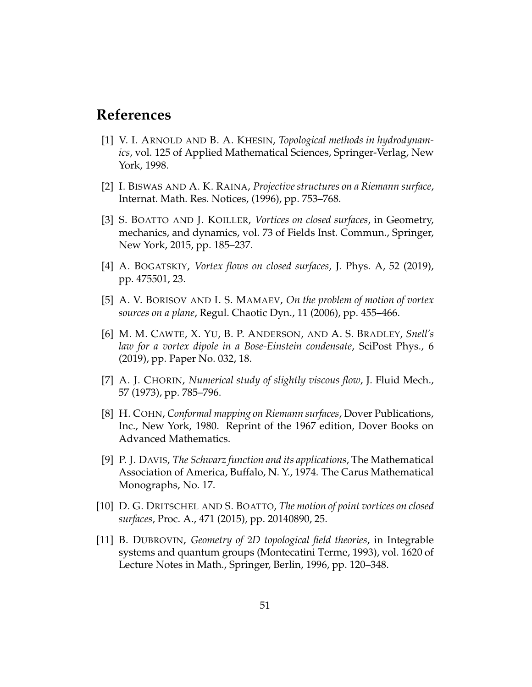# **References**

- [1] V. I. ARNOLD AND B. A. KHESIN, *Topological methods in hydrodynamics*, vol. 125 of Applied Mathematical Sciences, Springer-Verlag, New York, 1998.
- [2] I. BISWAS AND A. K. RAINA, *Projective structures on a Riemann surface*, Internat. Math. Res. Notices, (1996), pp. 753–768.
- [3] S. BOATTO AND J. KOILLER, *Vortices on closed surfaces*, in Geometry, mechanics, and dynamics, vol. 73 of Fields Inst. Commun., Springer, New York, 2015, pp. 185–237.
- [4] A. BOGATSKIY, *Vortex flows on closed surfaces*, J. Phys. A, 52 (2019), pp. 475501, 23.
- [5] A. V. BORISOV AND I. S. MAMAEV, *On the problem of motion of vortex sources on a plane*, Regul. Chaotic Dyn., 11 (2006), pp. 455–466.
- [6] M. M. CAWTE, X. YU, B. P. ANDERSON, AND A. S. BRADLEY, *Snell's law for a vortex dipole in a Bose-Einstein condensate*, SciPost Phys., 6 (2019), pp. Paper No. 032, 18.
- [7] A. J. CHORIN, *Numerical study of slightly viscous flow*, J. Fluid Mech., 57 (1973), pp. 785–796.
- [8] H. COHN, *Conformal mapping on Riemann surfaces*, Dover Publications, Inc., New York, 1980. Reprint of the 1967 edition, Dover Books on Advanced Mathematics.
- [9] P. J. DAVIS, *The Schwarz function and its applications*, The Mathematical Association of America, Buffalo, N. Y., 1974. The Carus Mathematical Monographs, No. 17.
- [10] D. G. DRITSCHEL AND S. BOATTO, *The motion of point vortices on closed surfaces*, Proc. A., 471 (2015), pp. 20140890, 25.
- [11] B. DUBROVIN, *Geometry of* 2*D topological field theories*, in Integrable systems and quantum groups (Montecatini Terme, 1993), vol. 1620 of Lecture Notes in Math., Springer, Berlin, 1996, pp. 120–348.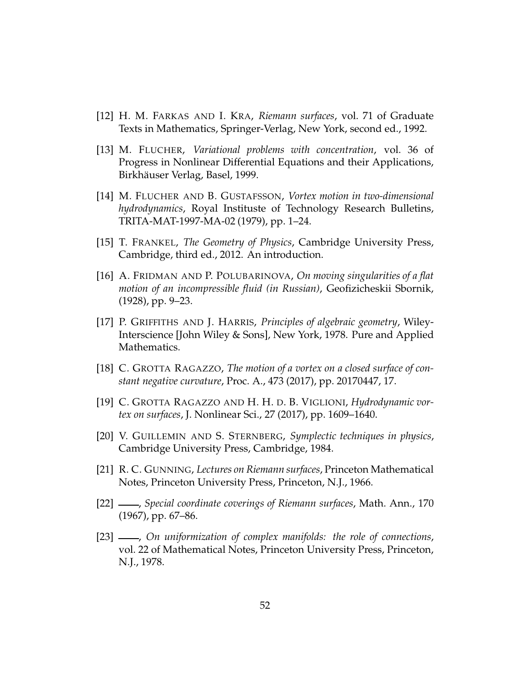- [12] H. M. FARKAS AND I. KRA, *Riemann surfaces*, vol. 71 of Graduate Texts in Mathematics, Springer-Verlag, New York, second ed., 1992.
- [13] M. FLUCHER, *Variational problems with concentration*, vol. 36 of Progress in Nonlinear Differential Equations and their Applications, Birkhäuser Verlag, Basel, 1999.
- [14] M. FLUCHER AND B. GUSTAFSSON, *Vortex motion in two-dimensional hydrodynamics*, Royal Instituste of Technology Research Bulletins, TRITA-MAT-1997-MA-02 (1979), pp. 1–24.
- [15] T. FRANKEL, *The Geometry of Physics*, Cambridge University Press, Cambridge, third ed., 2012. An introduction.
- [16] A. FRIDMAN AND P. POLUBARINOVA, *On moving singularities of a flat motion of an incompressible fluid (in Russian)*, Geofizicheskii Sbornik, (1928), pp. 9–23.
- [17] P. GRIFFITHS AND J. HARRIS, *Principles of algebraic geometry*, Wiley-Interscience [John Wiley & Sons], New York, 1978. Pure and Applied Mathematics.
- [18] C. GROTTA RAGAZZO, *The motion of a vortex on a closed surface of constant negative curvature*, Proc. A., 473 (2017), pp. 20170447, 17.
- [19] C. GROTTA RAGAZZO AND H. H. D. B. VIGLIONI, *Hydrodynamic vortex on surfaces*, J. Nonlinear Sci., 27 (2017), pp. 1609–1640.
- [20] V. GUILLEMIN AND S. STERNBERG, *Symplectic techniques in physics*, Cambridge University Press, Cambridge, 1984.
- [21] R. C. GUNNING, *Lectures on Riemann surfaces*, Princeton Mathematical Notes, Princeton University Press, Princeton, N.J., 1966.
- [22] , *Special coordinate coverings of Riemann surfaces*, Math. Ann., 170 (1967), pp. 67–86.
- [23] , *On uniformization of complex manifolds: the role of connections*, vol. 22 of Mathematical Notes, Princeton University Press, Princeton, N.J., 1978.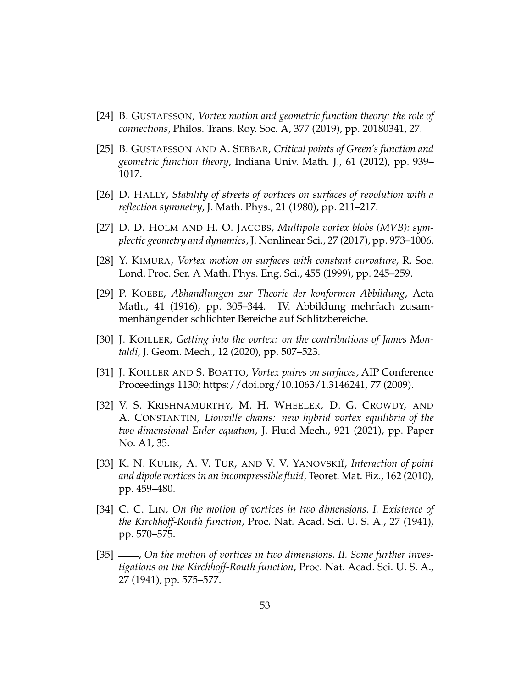- [24] B. GUSTAFSSON, *Vortex motion and geometric function theory: the role of connections*, Philos. Trans. Roy. Soc. A, 377 (2019), pp. 20180341, 27.
- [25] B. GUSTAFSSON AND A. SEBBAR, *Critical points of Green's function and geometric function theory*, Indiana Univ. Math. J., 61 (2012), pp. 939– 1017.
- [26] D. HALLY, *Stability of streets of vortices on surfaces of revolution with a reflection symmetry*, J. Math. Phys., 21 (1980), pp. 211–217.
- [27] D. D. HOLM AND H. O. JACOBS, *Multipole vortex blobs (MVB): symplectic geometry and dynamics*, J. Nonlinear Sci., 27 (2017), pp. 973–1006.
- [28] Y. KIMURA, *Vortex motion on surfaces with constant curvature*, R. Soc. Lond. Proc. Ser. A Math. Phys. Eng. Sci., 455 (1999), pp. 245–259.
- [29] P. KOEBE, *Abhandlungen zur Theorie der konformen Abbildung*, Acta Math., 41 (1916), pp. 305–344. IV. Abbildung mehrfach zusammenhängender schlichter Bereiche auf Schlitzbereiche.
- [30] J. KOILLER, *Getting into the vortex: on the contributions of James Montaldi*, J. Geom. Mech., 12 (2020), pp. 507–523.
- [31] J. KOILLER AND S. BOATTO, *Vortex paires on surfaces*, AIP Conference Proceedings 1130; https://doi.org/10.1063/1.3146241, 77 (2009).
- [32] V. S. KRISHNAMURTHY, M. H. WHEELER, D. G. CROWDY, AND A. CONSTANTIN, *Liouville chains: new hybrid vortex equilibria of the two-dimensional Euler equation*, J. Fluid Mech., 921 (2021), pp. Paper No. A1, 35.
- [33] K. N. KULIK, A. V. TUR, AND V. V. YANOVSKII, *Interaction of point and dipole vortices in an incompressible fluid*, Teoret. Mat. Fiz., 162 (2010), pp. 459–480.
- [34] C. C. LIN, *On the motion of vortices in two dimensions. I. Existence of the Kirchhoff-Routh function*, Proc. Nat. Acad. Sci. U. S. A., 27 (1941), pp. 570–575.
- [35] , *On the motion of vortices in two dimensions. II. Some further investigations on the Kirchhoff-Routh function*, Proc. Nat. Acad. Sci. U. S. A., 27 (1941), pp. 575–577.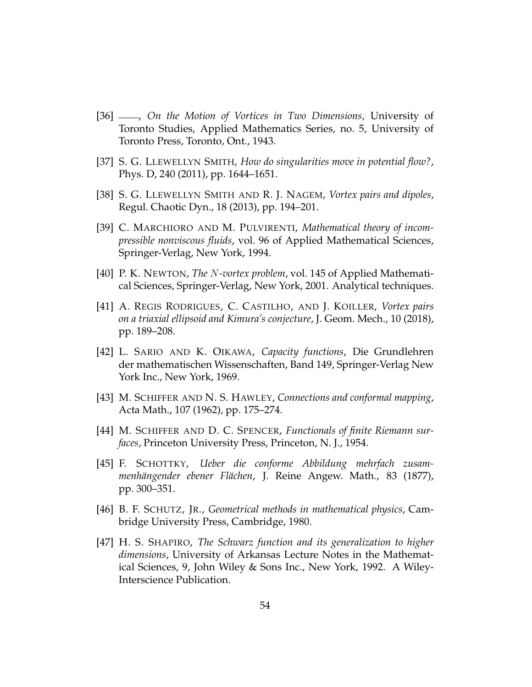- [36] , *On the Motion of Vortices in Two Dimensions*, University of Toronto Studies, Applied Mathematics Series, no. 5, University of Toronto Press, Toronto, Ont., 1943.
- [37] S. G. LLEWELLYN SMITH, *How do singularities move in potential flow?*, Phys. D, 240 (2011), pp. 1644–1651.
- [38] S. G. LLEWELLYN SMITH AND R. J. NAGEM, *Vortex pairs and dipoles*, Regul. Chaotic Dyn., 18 (2013), pp. 194–201.
- [39] C. MARCHIORO AND M. PULVIRENTI, *Mathematical theory of incompressible nonviscous fluids*, vol. 96 of Applied Mathematical Sciences, Springer-Verlag, New York, 1994.
- [40] P. K. NEWTON, *The* N*-vortex problem*, vol. 145 of Applied Mathematical Sciences, Springer-Verlag, New York, 2001. Analytical techniques.
- [41] A. REGIS RODRIGUES, C. CASTILHO, AND J. KOILLER, *Vortex pairs on a triaxial ellipsoid and Kimura's conjecture*, J. Geom. Mech., 10 (2018), pp. 189–208.
- [42] L. SARIO AND K. OIKAWA, *Capacity functions*, Die Grundlehren der mathematischen Wissenschaften, Band 149, Springer-Verlag New York Inc., New York, 1969.
- [43] M. SCHIFFER AND N. S. HAWLEY, *Connections and conformal mapping*, Acta Math., 107 (1962), pp. 175–274.
- [44] M. SCHIFFER AND D. C. SPENCER, *Functionals of finite Riemann surfaces*, Princeton University Press, Princeton, N. J., 1954.
- [45] F. SCHOTTKY, *Ueber die conforme Abbildung mehrfach zusam*menhängender ebener Flächen, J. Reine Angew. Math., 83 (1877), pp. 300–351.
- [46] B. F. SCHUTZ, JR., *Geometrical methods in mathematical physics*, Cambridge University Press, Cambridge, 1980.
- [47] H. S. SHAPIRO, *The Schwarz function and its generalization to higher dimensions*, University of Arkansas Lecture Notes in the Mathematical Sciences, 9, John Wiley & Sons Inc., New York, 1992. A Wiley-Interscience Publication.